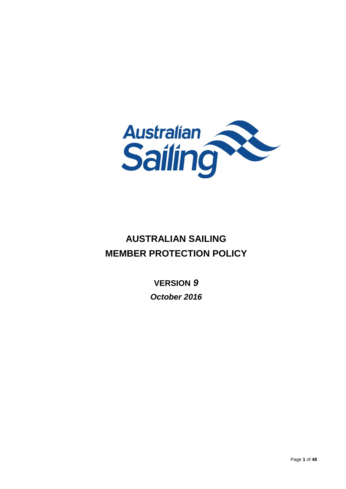

# **AUSTRALIAN SAILING MEMBER PROTECTION POLICY**

**VERSION** *9 October 2016*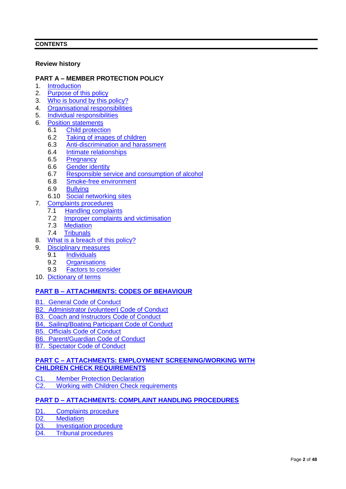## **CONTENTS**

## **Review history**

## **PART A – MEMBER PROTECTION POLICY**

- 1. [Introduction](#page-4-0)<br>2. Purpose of t
- 2. [Purpose of this policy](#page-4-1)<br>3. Who is bound by this
- [Who is bound by this policy?](#page-4-2)
- 4. [Organisational responsibilities](#page-5-0)
- 5. [Individual responsibilities](#page-5-1)
- 6. [Position statements](#page-5-2)
	- 6.1 [Child protection](#page-5-3)
	- 6.2 [Taking of images of children](#page-7-0)
	- 6.3 [Anti-discrimination and harassment](#page-7-1)
	- 6.4 Intimate [relationships](#page-8-0)
	- 6.5 [Pregnancy](#page-9-0)
	- 6.6 [Gender identity](#page-9-1)
	- 6.7 [Responsible service and consumption of alcohol](#page-10-0)
	- 6.8 [Smoke-free environment](#page-10-1)
	- 6.9 [Bullying](#page-10-2)
	- 6.10 [Social networking sites](#page-11-0)
- 7. [Complaints procedures](#page-11-1)
	- 7.1 **[Handling complaints](#page-11-2)**
	- 7.2 Improper [complaints and victimisation](#page-12-0)
	- 7.3 [Mediation](#page-12-1)
	- 7.4 [Tribunals](#page-12-2)
- 8. [What is a breach of](#page-13-0) this policy?
- 9. [Disciplinary measures](#page-13-1)
	- 9.1 [Individuals](#page-13-2)
	- 9.2 [Organisations](#page-14-0)
	- 9.3 [Factors to consider](#page-14-1)
- 10. [Dictionary of terms](#page-14-2)

## **PART B – [ATTACHMENTS: CODES OF BEHAVIOUR](#page-18-0)**

- [B1. General Code of Conduct](#page-19-0)
- [B2. Administrator \(volunteer\) Code of Conduct](#page-20-0)
- **[B3. Coach and Instructors Code of Conduct](#page-21-0)**
- [B4. Sailing/Boating Participant Code of Conduct](#page-22-0)
- [B5. Officials Code of Conduct](#page-23-0)
- [B6. Parent/Guardian Code of Conduct](#page-24-0)
- [B7. Spectator Code of Conduct](#page-25-0)

## **PART C – [ATTACHMENTS: EMPLOYMENT SCREENING/WORKING WITH](#page-26-0)  [CHILDREN CHECK REQUIREMENTS](#page-26-0)**

- C1. [Member Protection Declaration](#page-27-0)
- C2. [Working with Children Check requirements](#page-28-0)

## **PART D – [ATTACHMENTS: COMPLAINT HANDLING PROCEDURES](#page-30-0)**

- D1. [Complaints procedure](#page-31-0)
- D<sub>2</sub>. [Mediation](#page-34-0)
- D3. [Investigation procedure](#page-35-0)
- D4. [Tribunal procedures](#page-36-0)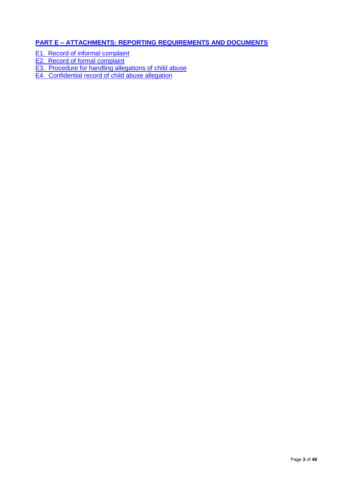## **PART E – [ATTACHMENTS: REPORTING REQUIREMENTS AND DOCUMENTS](#page-39-0)**

E1. [Record of informal complaint](#page-40-0)

- E2. [Record of formal complaint](#page-41-0)
- [E3. Procedure for handling allegations of child abuse](#page-43-0)
- [E4. Confidential record of child abuse allegation](#page-46-0)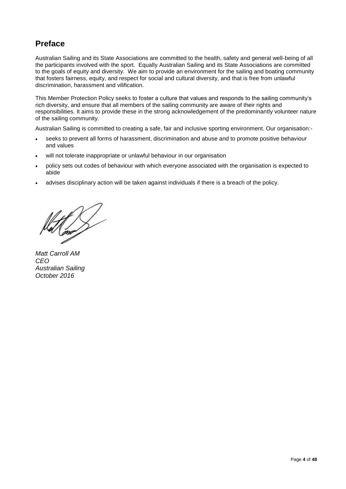# **Preface**

Australian Sailing and its State Associations are committed to the health, safety and general well-being of all the participants involved with the sport. Equally Australian Sailing and its State Associations are committed to the goals of equity and diversity. We aim to provide an environment for the sailing and boating community that fosters fairness, equity, and respect for social and cultural diversity, and that is free from unlawful discrimination, harassment and vilification.

This Member Protection Policy seeks to foster a culture that values and responds to the sailing community's rich diversity, and ensure that all members of the sailing community are aware of their rights and responsibilities. It aims to provide these in the strong acknowledgement of the predominantly volunteer nature of the sailing community.

Australian Sailing is committed to creating a safe, fair and inclusive sporting environment. Our organisation:-

- seeks to prevent all forms of harassment, discrimination and abuse and to promote positive behaviour and values
- will not tolerate inappropriate or unlawful behaviour in our organisation
- policy sets out codes of behaviour with which everyone associated with the organisation is expected to abide
- advises disciplinary action will be taken against individuals if there is a breach of the policy.

*Matt Carroll AM CEO Australian Sailing October 2016*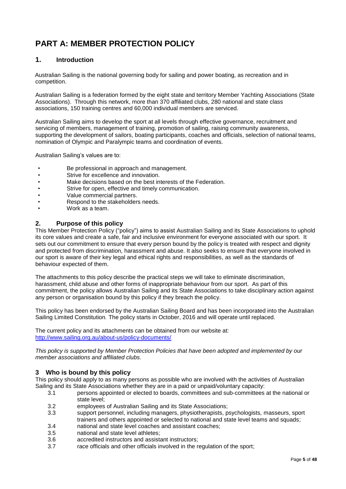# **PART A: MEMBER PROTECTION POLICY**

## <span id="page-4-0"></span>**1. Introduction**

 Australian Sailing is the national governing body for sailing and power boating, as recreation and in competition.

Australian Sailing is a federation formed by the eight state and territory Member Yachting Associations (State Associations). Through this network, more than 370 affiliated clubs, 280 national and state class associations, 150 training centres and 60,000 individual members are serviced.

Australian Sailing aims to develop the sport at all levels through effective governance, recruitment and servicing of members, management of training, promotion of sailing, raising community awareness, supporting the development of sailors, boating participants, coaches and officials, selection of national teams, nomination of Olympic and Paralympic teams and coordination of events.

Australian Sailing's values are to:

- Be professional in approach and management.
- Strive for excellence and innovation.
- Make decisions based on the best interests of the Federation.
- Strive for open, effective and timely communication.
- Value commercial partners.
- Respond to the stakeholders needs.
- Work as a team.

## <span id="page-4-1"></span>**2. Purpose of this policy**

This Member Protection Policy ("policy") aims to assist Australian Sailing and its State Associations to uphold its core values and create a safe, fair and inclusive environment for everyone associated with our sport. It sets out our commitment to ensure that every person bound by the policy is treated with respect and dignity and protected from discrimination, harassment and abuse. It also seeks to ensure that everyone involved in our sport is aware of their key legal and ethical rights and responsibilities, as well as the standards of behaviour expected of them.

The attachments to this policy describe the practical steps we will take to eliminate discrimination, harassment, child abuse and other forms of inappropriate behaviour from our sport. As part of this commitment, the policy allows Australian Sailing and its State Associations to take disciplinary action against any person or organisation bound by this policy if they breach the policy.

This policy has been endorsed by the Australian Sailing Board and has been incorporated into the Australian Sailing Limited Constitution*.* The policy starts in October, 2016 and will operate until replaced.

The current policy and its attachments can be obtained from our website at: <http://www.sailing.org.au/about-us/policy-documents/>

*This policy is supported by Member Protection Policies that have been adopted and implemented by our member associations and affiliated clubs.*

## <span id="page-4-2"></span>**3 Who is bound by this policy**

This policy should apply to as many persons as possible who are involved with the activities of Australian Sailing and its State Associations whether they are in a paid or unpaid/voluntary capacity:

- 3.1 persons appointed or elected to boards, committees and sub-committees at the national or state level;
- 3.2 employees of Australian Sailing and its State Associations;
- 3.3 support personnel, including managers, physiotherapists, psychologists, masseurs, sport trainers and others appointed or selected to national and state level teams and squads;
- 3.4 national and state level coaches and assistant coaches;
- 3.5 national and state level athletes;
- 3.6 accredited instructors and assistant instructors;
- 3.7 race officials and other officials involved in the regulation of the sport;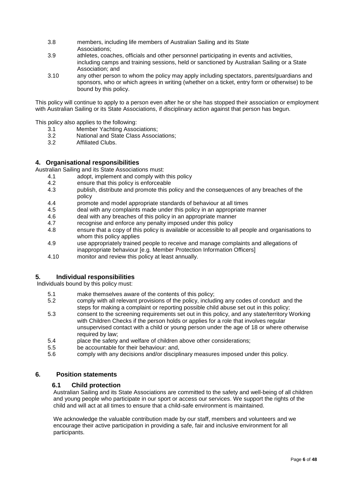- 3.8 members, including life members of Australian Sailing and its State Associations;<br>3.9 athletes coad
- athletes, coaches, officials and other personnel participating in events and activities. including camps and training sessions, held or sanctioned by Australian Sailing or a State Association; and
- 3.10 any other person to whom the policy may apply including spectators, parents/guardians and sponsors, who or which agrees in writing (whether on a ticket, entry form or otherwise) to be bound by this policy.

This policy will continue to apply to a person even after he or she has stopped their association or employment with Australian Sailing or its State Associations, if disciplinary action against that person has begun.

This policy also applies to the following:

- 3.1 Member Yachting Associations;<br>3.2 National and State Class Associ
- 3.2 National and State Class Associations;
- Affiliated Clubs.

## <span id="page-5-0"></span>**4. Organisational responsibilities**

Australian Sailing and its State Associations must:

- 4.1 adopt, implement and comply with this policy<br>4.2 ensure that this policy is enforceable
- 4.2 ensure that this policy is enforceable<br>4.3 bublish distribute and promote this p
- publish, distribute and promote this policy and the consequences of any breaches of the policy
- 4.4 promote and model appropriate standards of behaviour at all times<br>4.5 deal with any complaints made under this policy in an appropriate n
- deal with any complaints made under this policy in an appropriate manner
- 4.6 deal with any breaches of this policy in an appropriate manner
- 4.7 recognise and enforce any penalty imposed under this policy
- 4.8 ensure that a copy of this policy is available or accessible to all people and organisations to whom this policy applies
- 4.9 use appropriately trained people to receive and manage complaints and allegations of inappropriate behaviour [e.g. Member Protection Information Officers]
- <span id="page-5-1"></span>4.10 monitor and review this policy at least annually.

## **5. Individual responsibilities**

Individuals bound by this policy must:

- 5.1 make themselves aware of the contents of this policy;
- 5.2 comply with all relevant provisions of the policy, including any codes of conduct and the steps for making a complaint or reporting possible child abuse set out in this policy;
- 5.3 consent to the screening requirements set out in this policy, and any state/territory Working with Children Checks if the person holds or applies for a role that involves regular unsupervised contact with a child or young person under the age of 18 or where otherwise required by law:
- 5.4 place the safety and welfare of children above other considerations;
- 5.5 be accountable for their behaviour: and,
- <span id="page-5-2"></span>5.6 comply with any decisions and/or disciplinary measures imposed under this policy.

## **6. Position statements**

## <span id="page-5-3"></span>**6.1 Child protection**

Australian Sailing and its State Associations are committed to the safety and well-being of all children and young people who participate in our sport or access our services. We support the rights of the child and will act at all times to ensure that a child-safe environment is maintained.

We acknowledge the valuable contribution made by our staff, members and volunteers and we encourage their active participation in providing a safe, fair and inclusive environment for all participants.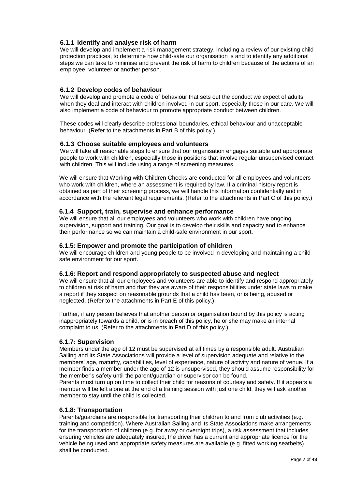## **6.1.1 Identify and analyse risk of harm**

We will develop and implement a risk management strategy, including a review of our existing child protection practices, to determine how child-safe our organisation is and to identify any additional steps we can take to minimise and prevent the risk of harm to children because of the actions of an employee, volunteer or another person.

## **6.1.2 Develop codes of behaviour**

We will develop and promote a code of behaviour that sets out the conduct we expect of adults when they deal and interact with children involved in our sport, especially those in our care. We will also implement a code of behaviour to promote appropriate conduct between children.

These codes will clearly describe professional boundaries, ethical behaviour and unacceptable behaviour. (Refer to the attachments in Part B of this policy.)

## **6.1.3 Choose suitable employees and volunteers**

We will take all reasonable steps to ensure that our organisation engages suitable and appropriate people to work with children, especially those in positions that involve regular unsupervised contact with children. This will include using a range of screening measures.

We will ensure that Working with Children Checks are conducted for all employees and volunteers who work with children, where an assessment is required by law. If a criminal history report is obtained as part of their screening process, we will handle this information confidentially and in accordance with the relevant legal requirements. (Refer to the attachments in Part C of this policy.)

## **6.1.4 Support, train, supervise and enhance performance**

We will ensure that all our employees and volunteers who work with children have ongoing supervision, support and training. Our goal is to develop their skills and capacity and to enhance their performance so we can maintain a child-safe environment in our sport.

## **6.1.5: Empower and promote the participation of children**

We will encourage children and young people to be involved in developing and maintaining a childsafe environment for our sport.

## **6.1.6: Report and respond appropriately to suspected abuse and neglect**

We will ensure that all our employees and volunteers are able to identify and respond appropriately to children at risk of harm and that they are aware of their responsibilities under state laws to make a report if they suspect on reasonable grounds that a child has been, or is being, abused or neglected. (Refer to the attachments in Part E of this policy.)

Further, if any person believes that another person or organisation bound by this policy is acting inappropriately towards a child, or is in breach of this policy, he or she may make an internal complaint to us. (Refer to the attachments in Part D of this policy.)

## **6.1.7: Supervision**

Members under the age of 12 must be supervised at all times by a responsible adult. Australian Sailing and its State Associations will provide a level of supervision adequate and relative to the members' age, maturity, capabilities, level of experience, nature of activity and nature of venue. If a member finds a member under the age of 12 is unsupervised, they should assume responsibility for the member's safety until the parent/guardian or supervisor can be found.

Parents must turn up on time to collect their child for reasons of courtesy and safety. If it appears a member will be left alone at the end of a training session with just one child, they will ask another member to stay until the child is collected.

## **6.1.8: Transportation**

Parents/guardians are responsible for transporting their children to and from club activities (e.g. training and competition). Where Australian Sailing and its State Associations make arrangements for the transportation of children (e.g. for away or overnight trips), a risk assessment that includes ensuring vehicles are adequately insured, the driver has a current and appropriate licence for the vehicle being used and appropriate safety measures are available (e.g. fitted working seatbelts) shall be conducted.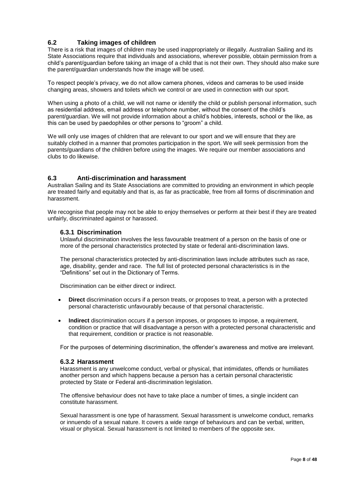## <span id="page-7-0"></span>**6.2 Taking images of children**

There is a risk that images of children may be used inappropriately or illegally. Australian Sailing and its State Associations require that individuals and associations, wherever possible, obtain permission from a child's parent/guardian before taking an image of a child that is not their own. They should also make sure the parent/guardian understands how the image will be used.

To respect people's privacy, we do not allow camera phones, videos and cameras to be used inside changing areas, showers and toilets which we control or are used in connection with our sport.

When using a photo of a child, we will not name or identify the child or publish personal information, such as residential address, email address or telephone number, without the consent of the child's parent/guardian. We will not provide information about a child's hobbies, interests, school or the like, as this can be used by paedophiles or other persons to "groom" a child.

We will only use images of children that are relevant to our sport and we will ensure that they are suitably clothed in a manner that promotes participation in the sport. We will seek permission from the parents/guardians of the children before using the images. We require our member associations and clubs to do likewise.

## <span id="page-7-1"></span>**6.3 Anti-discrimination and harassment**

Australian Sailing and its State Associations are committed to providing an environment in which people are treated fairly and equitably and that is, as far as practicable, free from all forms of discrimination and harassment.

We recognise that people may not be able to enjoy themselves or perform at their best if they are treated unfairly, discriminated against or harassed.

## **6.3.1 Discrimination**

Unlawful discrimination involves the less favourable treatment of a person on the basis of one or more of the personal characteristics protected by state or federal anti-discrimination laws.

The personal characteristics protected by anti-discrimination laws include attributes such as race, age, disability, gender and race. The full list of protected personal characteristics is in the "Definitions" set out in the Dictionary of Terms.

Discrimination can be either direct or indirect.

- **Direct** discrimination occurs if a person treats, or proposes to treat, a person with a protected personal characteristic unfavourably because of that personal characteristic.
- **Indirect** discrimination occurs if a person imposes, or proposes to impose, a requirement, condition or practice that will disadvantage a person with a protected personal characteristic and that requirement, condition or practice is not reasonable.

For the purposes of determining discrimination, the offender's awareness and motive are irrelevant.

#### **6.3.2 Harassment**

Harassment is any unwelcome conduct, verbal or physical, that intimidates, offends or humiliates another person and which happens because a person has a certain personal characteristic protected by State or Federal anti-discrimination legislation.

The offensive behaviour does not have to take place a number of times, a single incident can constitute harassment.

Sexual harassment is one type of harassment. Sexual harassment is unwelcome conduct, remarks or innuendo of a sexual nature. It covers a wide range of behaviours and can be verbal, written, visual or physical. Sexual harassment is not limited to members of the opposite sex.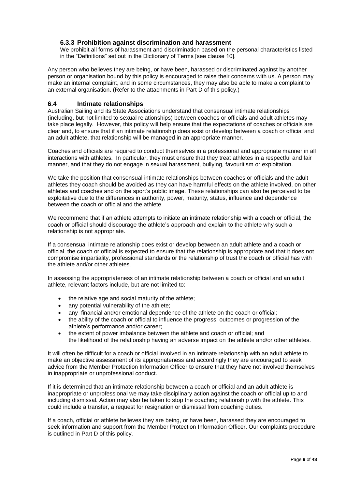## **6.3.3 Prohibition against discrimination and harassment**

We prohibit all forms of harassment and discrimination based on the personal characteristics listed in the "Definitions" set out in the Dictionary of Terms [see clause 10].

Any person who believes they are being, or have been, harassed or discriminated against by another person or organisation bound by this policy is encouraged to raise their concerns with us. A person may make an internal complaint, and in some circumstances, they may also be able to make a complaint to an external organisation. (Refer to the attachments in Part D of this policy.)

## <span id="page-8-0"></span>**6.4 Intimate relationships**

Australian Sailing and its State Associations understand that consensual intimate relationships (including, but not limited to sexual relationships) between coaches or officials and adult athletes may take place legally. However, this policy will help ensure that the expectations of coaches or officials are clear and, to ensure that if an intimate relationship does exist or develop between a coach or official and an adult athlete, that relationship will be managed in an appropriate manner.

Coaches and officials are required to conduct themselves in a professional and appropriate manner in all interactions with athletes. In particular, they must ensure that they treat athletes in a respectful and fair manner, and that they do not engage in sexual harassment, bullying, favouritism or exploitation.

We take the position that consensual intimate relationships between coaches or officials and the adult athletes they coach should be avoided as they can have harmful effects on the athlete involved, on other athletes and coaches and on the sport's public image. These relationships can also be perceived to be exploitative due to the differences in authority, power, maturity, status, influence and dependence between the coach or official and the athlete.

We recommend that if an athlete attempts to initiate an intimate relationship with a coach or official, the coach or official should discourage the athlete's approach and explain to the athlete why such a relationship is not appropriate.

If a consensual intimate relationship does exist or develop between an adult athlete and a coach or official, the coach or official is expected to ensure that the relationship is appropriate and that it does not compromise impartiality, professional standards or the relationship of trust the coach or official has with the athlete and/or other athletes.

In assessing the appropriateness of an intimate relationship between a coach or official and an adult athlete, relevant factors include, but are not limited to:

- the relative age and social maturity of the athlete;
- any potential vulnerability of the athlete;
- any financial and/or emotional dependence of the athlete on the coach or official;
- the ability of the coach or official to influence the progress, outcomes or progression of the athlete's performance and/or career;
- the extent of power imbalance between the athlete and coach or official; and the likelihood of the relationship having an adverse impact on the athlete and/or other athletes.

It will often be difficult for a coach or official involved in an intimate relationship with an adult athlete to make an objective assessment of its appropriateness and accordingly they are encouraged to seek advice from the Member Protection Information Officer to ensure that they have not involved themselves in inappropriate or unprofessional conduct.

If it is determined that an intimate relationship between a coach or official and an adult athlete is inappropriate or unprofessional we may take disciplinary action against the coach or official up to and including dismissal. Action may also be taken to stop the coaching relationship with the athlete. This could include a transfer, a request for resignation or dismissal from coaching duties.

If a coach, official or athlete believes they are being, or have been, harassed they are encouraged to seek information and support from the Member Protection Information Officer. Our complaints procedure is outlined in Part D of this policy.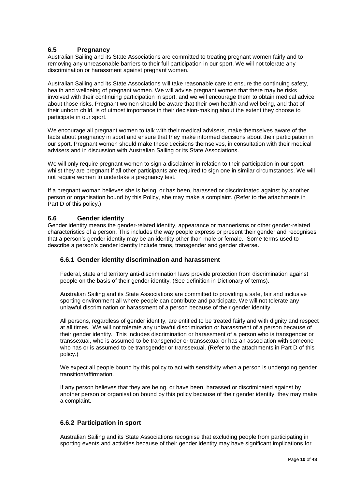## <span id="page-9-0"></span>**6.5 Pregnancy**

Australian Sailing and its State Associations are committed to treating pregnant women fairly and to removing any unreasonable barriers to their full participation in our sport. We will not tolerate any discrimination or harassment against pregnant women.

Australian Sailing and its State Associations will take reasonable care to ensure the continuing safety, health and wellbeing of pregnant women. We will advise pregnant women that there may be risks involved with their continuing participation in sport, and we will encourage them to obtain medical advice about those risks. Pregnant women should be aware that their own health and wellbeing, and that of their unborn child, is of utmost importance in their decision-making about the extent they choose to participate in our sport.

We encourage all pregnant women to talk with their medical advisers, make themselves aware of the facts about pregnancy in sport and ensure that they make informed decisions about their participation in our sport. Pregnant women should make these decisions themselves, in consultation with their medical advisers and in discussion with Australian Sailing or its State Associations.

We will only require pregnant women to sign a disclaimer in relation to their participation in our sport whilst they are pregnant if all other participants are required to sign one in similar circumstances. We will not require women to undertake a pregnancy test.

If a pregnant woman believes she is being, or has been, harassed or discriminated against by another person or organisation bound by this Policy, she may make a complaint. (Refer to the attachments in Part D of this policy.)

## <span id="page-9-1"></span>**6.6 Gender identity**

Gender identity means the gender-related identity, appearance or mannerisms or other gender-related characteristics of a person. This includes the way people express or present their gender and recognises that a person's gender identity may be an identity other than male or female. Some terms used to describe a person's gender identity include trans, transgender and gender diverse.

## **6.6.1 Gender identity discrimination and harassment**

Federal, state and territory anti-discrimination laws provide protection from discrimination against people on the basis of their gender identity. (See definition in Dictionary of terms).

Australian Sailing and its State Associations are committed to providing a safe, fair and inclusive sporting environment all where people can contribute and participate. We will not tolerate any unlawful discrimination or harassment of a person because of their gender identity.

All persons, regardless of gender identity, are entitled to be treated fairly and with dignity and respect at all times. We will not tolerate any unlawful discrimination or harassment of a person because of their gender identity. This includes discrimination or harassment of a person who is transgender or transsexual, who is assumed to be transgender or transsexual or has an association with someone who has or is assumed to be transgender or transsexual. (Refer to the attachments in Part D of this policy.)

We expect all people bound by this policy to act with sensitivity when a person is undergoing gender transition/affirmation.

If any person believes that they are being, or have been, harassed or discriminated against by another person or organisation bound by this policy because of their gender identity, they may make a complaint.

## **6.6.2 Participation in sport**

Australian Sailing and its State Associations recognise that excluding people from participating in sporting events and activities because of their gender identity may have significant implications for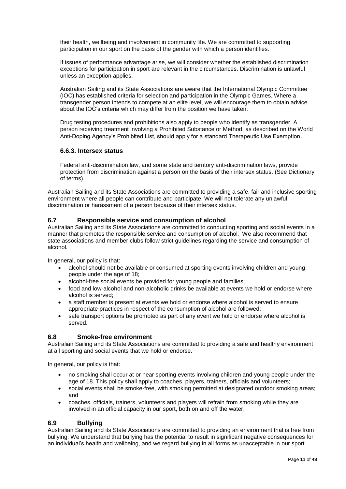their health, wellbeing and involvement in community life. We are committed to supporting participation in our sport on the basis of the gender with which a person identifies.

If issues of performance advantage arise, we will consider whether the established discrimination exceptions for participation in sport are relevant in the circumstances. Discrimination is unlawful unless an exception applies.

Australian Sailing and its State Associations are aware that the International Olympic Committee (IOC) has established criteria for selection and participation in the Olympic Games. Where a transgender person intends to compete at an elite level, we will encourage them to obtain advice about the IOC's criteria which may differ from the position we have taken.

Drug testing procedures and prohibitions also apply to people who identify as transgender. A person receiving treatment involving a Prohibited Substance or Method, as described on the World Anti-Doping Agency's Prohibited List, should apply for a standard Therapeutic Use Exemption.

## **6.6.3. Intersex status**

Federal anti-discrimination law, and some state and territory anti-discrimination laws, provide protection from discrimination against a person on the basis of their intersex status. (See Dictionary of terms).

Australian Sailing and its State Associations are committed to providing a safe, fair and inclusive sporting environment where all people can contribute and participate. We will not tolerate any unlawful discrimination or harassment of a person because of their intersex status.

## <span id="page-10-0"></span>**6.7 Responsible service and consumption of alcohol**

Australian Sailing and its State Associations are committed to conducting sporting and social events in a manner that promotes the responsible service and consumption of alcohol. We also recommend that state associations and member clubs follow strict guidelines regarding the service and consumption of alcohol.

In general, our policy is that:

- alcohol should not be available or consumed at sporting events involving children and young people under the age of 18;
- alcohol-free social events be provided for young people and families;
- food and low-alcohol and non-alcoholic drinks be available at events we hold or endorse where alcohol is served;
- a staff member is present at events we hold or endorse where alcohol is served to ensure appropriate practices in respect of the consumption of alcohol are followed;
- <span id="page-10-1"></span> safe transport options be promoted as part of any event we hold or endorse where alcohol is served.

## **6.8 Smoke-free environment**

Australian Sailing and its State Associations are committed to providing a safe and healthy environment at all sporting and social events that we hold or endorse.

In general, our policy is that:

- no smoking shall occur at or near sporting events involving children and young people under the age of 18. This policy shall apply to coaches, players, trainers, officials and volunteers;
- social events shall be smoke-free, with smoking permitted at designated outdoor smoking areas; and
- <span id="page-10-2"></span> coaches, officials, trainers, volunteers and players will refrain from smoking while they are involved in an official capacity in our sport, both on and off the water.

## **6.9 Bullying**

Australian Sailing and its State Associations are committed to providing an environment that is free from bullying. We understand that bullying has the potential to result in significant negative consequences for an individual's health and wellbeing, and we regard bullying in all forms as unacceptable in our sport.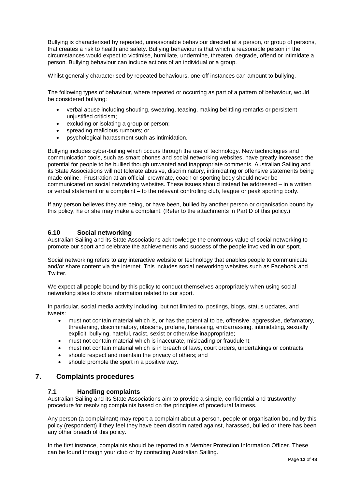Bullying is characterised by repeated, unreasonable behaviour directed at a person, or group of persons, that creates a risk to health and safety. Bullying behaviour is that which a reasonable person in the circumstances would expect to victimise, humiliate, undermine, threaten, degrade, offend or intimidate a person. Bullying behaviour can include actions of an individual or a group.

Whilst generally characterised by repeated behaviours, one-off instances can amount to bullying.

The following types of behaviour, where repeated or occurring as part of a pattern of behaviour, would be considered bullying:

- verbal abuse including shouting, swearing, teasing, making belittling remarks or persistent unjustified criticism;
- excluding or isolating a group or person;
- spreading malicious rumours; or
- psychological harassment such as intimidation.

Bullying includes cyber-bulling which occurs through the use of technology. New technologies and communication tools, such as smart phones and social networking websites, have greatly increased the potential for people to be bullied though unwanted and inappropriate comments. Australian Sailing and its State Associations will not tolerate abusive, discriminatory, intimidating or offensive statements being made online. Frustration at an official, crewmate, coach or sporting body should never be communicated on social networking websites. These issues should instead be addressed – in a written or verbal statement or a complaint – to the relevant controlling club, league or peak sporting body.

If any person believes they are being, or have been, bullied by another person or organisation bound by this policy, he or she may make a complaint. (Refer to the attachments in Part D of this policy.)

#### <span id="page-11-0"></span>**6.10 Social networking**

Australian Sailing and its State Associations acknowledge the enormous value of social networking to promote our sport and celebrate the achievements and success of the people involved in our sport.

Social networking refers to any interactive website or technology that enables people to communicate and/or share content via the internet. This includes social networking websites such as Facebook and Twitter.

We expect all people bound by this policy to conduct themselves appropriately when using social networking sites to share information related to our sport.

In particular, social media activity including, but not limited to, postings, blogs, status updates, and tweets:

- must not contain material which is, or has the potential to be, offensive, aggressive, defamatory, threatening, discriminatory, obscene, profane, harassing, embarrassing, intimidating, sexually explicit, bullying, hateful, racist, sexist or otherwise inappropriate;
- must not contain material which is inaccurate, misleading or fraudulent;
- must not contain material which is in breach of laws, court orders, undertakings or contracts;
- should respect and maintain the privacy of others; and
- <span id="page-11-1"></span>should promote the sport in a positive way.

## **7. Complaints procedures**

## <span id="page-11-2"></span>**7.1 Handling complaints**

Australian Sailing and its State Associations aim to provide a simple, confidential and trustworthy procedure for resolving complaints based on the principles of procedural fairness.

Any person (a complainant) may report a complaint about a person, people or organisation bound by this policy (respondent) if they feel they have been discriminated against, harassed, bullied or there has been any other breach of this policy.

In the first instance, complaints should be reported to a Member Protection Information Officer. These can be found through your club or by contacting Australian Sailing.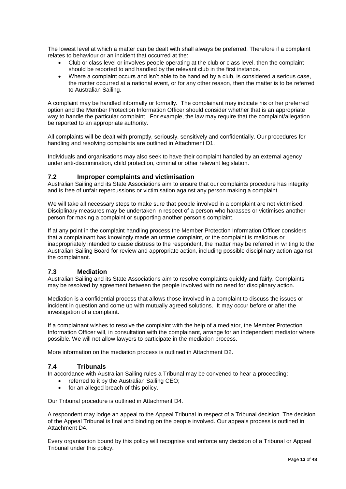The lowest level at which a matter can be dealt with shall always be preferred. Therefore if a complaint relates to behaviour or an incident that occurred at the:

- Club or class level or involves people operating at the club or class level, then the complaint should be reported to and handled by the relevant club in the first instance.
- Where a complaint occurs and isn't able to be handled by a club, is considered a serious case, the matter occurred at a national event, or for any other reason, then the matter is to be referred to Australian Sailing.

A complaint may be handled informally or formally. The complainant may indicate his or her preferred option and the Member Protection Information Officer should consider whether that is an appropriate way to handle the particular complaint. For example, the law may require that the complaint/allegation be reported to an appropriate authority.

All complaints will be dealt with promptly, seriously, sensitively and confidentially. Our procedures for handling and resolving complaints are outlined in Attachment D1.

Individuals and organisations may also seek to have their complaint handled by an external agency under anti-discrimination, child protection, criminal or other relevant legislation.

## <span id="page-12-0"></span>**7.2 Improper complaints and victimisation**

Australian Sailing and its State Associations aim to ensure that our complaints procedure has integrity and is free of unfair repercussions or victimisation against any person making a complaint.

We will take all necessary steps to make sure that people involved in a complaint are not victimised. Disciplinary measures may be undertaken in respect of a person who harasses or victimises another person for making a complaint or supporting another person's complaint.

If at any point in the complaint handling process the Member Protection Information Officer considers that a complainant has knowingly made an untrue complaint, or the complaint is malicious or inappropriately intended to cause distress to the respondent, the matter may be referred in writing to the Australian Sailing Board for review and appropriate action, including possible disciplinary action against the complainant.

## <span id="page-12-1"></span>**7.3 Mediation**

Australian Sailing and its State Associations aim to resolve complaints quickly and fairly. Complaints may be resolved by agreement between the people involved with no need for disciplinary action.

Mediation is a confidential process that allows those involved in a complaint to discuss the issues or incident in question and come up with mutually agreed solutions. It may occur before or after the investigation of a complaint.

If a complainant wishes to resolve the complaint with the help of a mediator, the Member Protection Information Officer will, in consultation with the complainant, arrange for an independent mediator where possible. We will not allow lawyers to participate in the mediation process.

More information on the mediation process is outlined in Attachment D2.

#### **7.4 Tribunals**

In accordance with Australian Sailing rules a Tribunal may be convened to hear a proceeding:

- <span id="page-12-2"></span>referred to it by the Australian Sailing CEO;
- for an alleged breach of this policy.

Our Tribunal procedure is outlined in Attachment D4.

A respondent may lodge an appeal to the Appeal Tribunal in respect of a Tribunal decision. The decision of the Appeal Tribunal is final and binding on the people involved. Our appeals process is outlined in Attachment D4.

Every organisation bound by this policy will recognise and enforce any decision of a Tribunal or Appeal Tribunal under this policy.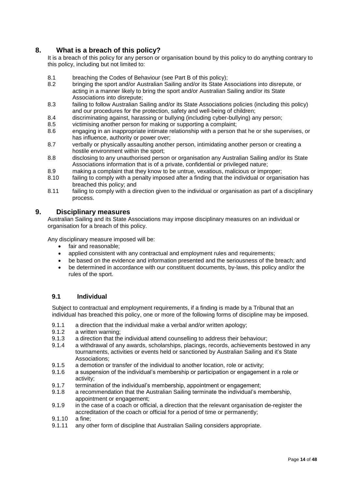## **8. What is a breach of this policy?**

<span id="page-13-0"></span>It is a breach of this policy for any person or organisation bound by this policy to do anything contrary to this policy, including but not limited to:

- 8.1 breaching the Codes of Behaviour (see Part B of this policy);<br>8.2 bringing the sport and/or Australian Sailing and/or its State As
- bringing the sport and/or Australian Sailing and/or its State Associations into disrepute, or acting in a manner likely to bring the sport and/or Australian Sailing and/or its State Associations into disrepute;
- 8.3 failing to follow Australian Sailing and/or its State Associations policies (including this policy) and our procedures for the protection, safety and well-being of children;
- 8.4 discriminating against, harassing or bullying (including cyber-bullying) any person;<br>8.5 victimising another person for making or supporting a complaint:
- victimising another person for making or supporting a complaint;
- 8.6 engaging in an inappropriate intimate relationship with a person that he or she supervises, or has influence, authority or power over;
- 8.7 verbally or physically assaulting another person, intimidating another person or creating a hostile environment within the sport;
- 8.8 disclosing to any unauthorised person or organisation any Australian Sailing and/or its State Associations information that is of a private, confidential or privileged nature;
- 8.9 making a complaint that they know to be untrue, vexatious, malicious or improper;<br>8.10 failing to comply with a penalty imposed after a finding that the individual or organis
- failing to comply with a penalty imposed after a finding that the individual or organisation has breached this policy; and
- 8.11 failing to comply with a direction given to the individual or organisation as part of a disciplinary process.

## **9. Disciplinary measures**

<span id="page-13-1"></span>Australian Sailing and its State Associations may impose disciplinary measures on an individual or organisation for a breach of this policy.

Any disciplinary measure imposed will be:

- fair and reasonable;
- applied consistent with any contractual and employment rules and requirements;
- be based on the evidence and information presented and the seriousness of the breach; and
- be determined in accordance with our constituent documents, by-laws, this policy and/or the rules of the sport.

## <span id="page-13-2"></span>**9.1 Individual**

Subject to contractual and employment requirements, if a finding is made by a Tribunal that an individual has breached this policy, one or more of the following forms of discipline may be imposed.

- 9.1.1 a direction that the individual make a verbal and/or written apology;
- 9.1.2 a written warning;
- 9.1.3 a direction that the individual attend counselling to address their behaviour;
- 9.1.4 a withdrawal of any awards, scholarships, placings, records, achievements bestowed in any tournaments, activities or events held or sanctioned by Australian Sailing and it's State Associations;
- 9.1.5 a demotion or transfer of the individual to another location, role or activity;<br>9.1.6 a suspension of the individual's membership or participation or engageme
- a suspension of the individual's membership or participation or engagement in a role or activity;
- 9.1.7 termination of the individual's membership, appointment or engagement;
- 9.1.8 a recommendation that the Australian Sailing terminate the individual's membership, appointment or engagement;
- 9.1.9 in the case of a coach or official, a direction that the relevant organisation de-register the accreditation of the coach or official for a period of time or permanently;
- 9.1.10 a fine;
- 9.1.11 any other form of discipline that Australian Sailing considers appropriate.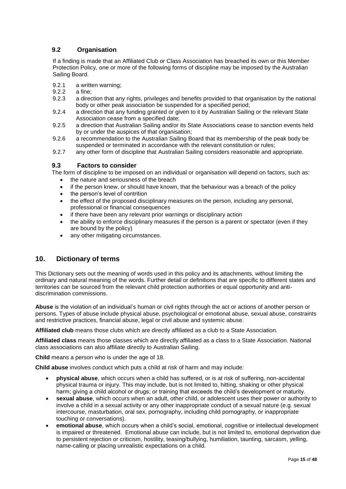## <span id="page-14-0"></span>**9.2 Organisation**

If a finding is made that an Affiliated Club or Class Association has breached its own or this Member Protection Policy*,* one or more of the following forms of discipline may be imposed by the Australian Sailing Board.

- 9.2.1 a written warning;<br>9.2.2 a fine:
- 9.2.2 a fine;<br>9.2.3 a direct
- a direction that any rights, privileges and benefits provided to that organisation by the national body or other peak association be suspended for a specified period;
- 9.2.4 a direction that any funding granted or given to it by Australian Sailing or the relevant State Association cease from a specified date;
- 9.2.5 a direction that Australian Sailing and/or its State Associations cease to sanction events held by or under the auspices of that organisation;
- 9.2.6 a recommendation to the Australian Sailing Board that its membership of the peak body be suspended or terminated in accordance with the relevant constitution or rules;
- 9.2.7 any other form of discipline that Australian Sailing considers reasonable and appropriate.

## **9.3 Factors to consider**

The form of discipline to be imposed on an individual or organisation will depend on factors, such as:

- <span id="page-14-1"></span>the nature and seriousness of the breach
- if the person knew, or should have known, that the behaviour was a breach of the policy
- the person's level of contrition
- the effect of the proposed disciplinary measures on the person, including any personal, professional or financial consequences
- if there have been any relevant prior warnings or disciplinary action
- the ability to enforce disciplinary measures if the person is a parent or spectator (even if they are bound by the policy)
- any other mitigating circumstances.

## <span id="page-14-2"></span>**10. Dictionary of terms**

This Dictionary sets out the meaning of words used in this policy and its attachments, without limiting the ordinary and natural meaning of the words. Further detail or definitions that are specific to different states and territories can be sourced from the relevant child protection authorities or equal opportunity and antidiscrimination commissions.

**Abuse** is the violation of an individual's human or civil rights through the act or actions of another person or persons. Types of abuse include physical abuse, psychological or emotional abuse, sexual abuse, constraints and restrictive practices, financial abuse, legal or civil abuse and systemic abuse.

**Affiliated club** means those clubs which are directly affiliated as a club to a State Association.

**Affiliated class** means those classes which are directly affiliated as a class to a State Association. National class associations can also affiliate directly to Australian Sailing.

**Child** means a person who is under the age of 18.

**Child abuse** involves conduct which puts a child at risk of harm and may include:

- **physical abuse**, which occurs when a child has suffered, or is at risk of suffering, non-accidental physical trauma or injury. This may include, but is not limited to, hitting, shaking or other physical harm; giving a child alcohol or drugs; or training that exceeds the child's development or maturity.
- **sexual abuse**, which occurs when an adult, other child, or adolescent uses their power or authority to involve a child in a sexual activity or any other inappropriate conduct of a sexual nature (e.g. sexual intercourse, masturbation, oral sex, pornography, including child pornography, or inappropriate touching or conversations).
- **emotional abuse**, which occurs when a child's social, emotional, cognitive or intellectual development is impaired or threatened. Emotional abuse can include, but is not limited to, emotional deprivation due to persistent rejection or criticism, hostility, teasing/bullying, humiliation, taunting, sarcasm, yelling, name-calling or placing unrealistic expectations on a child.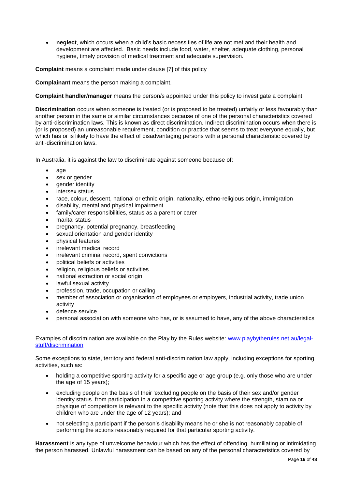**neglect**, which occurs when a child's basic necessities of life are not met and their health and development are affected. Basic needs include food, water, shelter, adequate clothing, personal hygiene, timely provision of medical treatment and adequate supervision.

**Complaint** means a complaint made under clause [7] of this policy

**Complainant** means the person making a complaint.

**Complaint handler/manager** means the person/s appointed under this policy to investigate a complaint.

**Discrimination** occurs when someone is treated (or is proposed to be treated) unfairly or less favourably than another person in the same or similar circumstances because of one of the personal characteristics covered by anti-discrimination laws. This is known as direct discrimination. Indirect discrimination occurs when there is (or is proposed) an unreasonable requirement, condition or practice that seems to treat everyone equally, but which has or is likely to have the effect of disadvantaging persons with a personal characteristic covered by anti-discrimination laws.

In Australia, it is against the law to discriminate against someone because of:

- age
- sex or gender
- gender identity
- intersex status
- race, colour, descent, national or ethnic origin, nationality, ethno-religious origin, immigration
- disability, mental and physical impairment
- family/carer responsibilities, status as a parent or carer
- marital status
- pregnancy, potential pregnancy, breastfeeding
- **•** sexual orientation and gender identity
- physical features
- irrelevant medical record
- irrelevant criminal record, spent convictions
- political beliefs or activities
- religion, religious beliefs or activities
- national extraction or social origin
- lawful sexual activity
- profession, trade, occupation or calling
- member of association or organisation of employees or employers, industrial activity, trade union activity
- defence service
- personal association with someone who has, or is assumed to have, any of the above characteristics

Examples of discrimination are available on the Play by the Rules website: [www.playbytherules.net.au/legal](http://www.playbytherules.net.au/legal-stuff/discrimination)[stuff/discrimination](http://www.playbytherules.net.au/legal-stuff/discrimination)

Some exceptions to state, territory and federal anti-discrimination law apply, including exceptions for sporting activities, such as:

- holding a competitive sporting activity for a specific age or age group (e.g. only those who are under the age of 15 years);
- excluding people on the basis of their 'excluding people on the basis of their sex and/or gender identity status from participation in a competitive sporting activity where the strength, stamina or physique of competitors is relevant to the specific activity (note that this does not apply to activity by children who are under the age of 12 years); and
- not selecting a participant if the person's disability means he or she is not reasonably capable of performing the actions reasonably required for that particular sporting activity.

**Harassment** is any type of unwelcome behaviour which has the effect of offending, humiliating or intimidating the person harassed. Unlawful harassment can be based on any of the personal characteristics covered by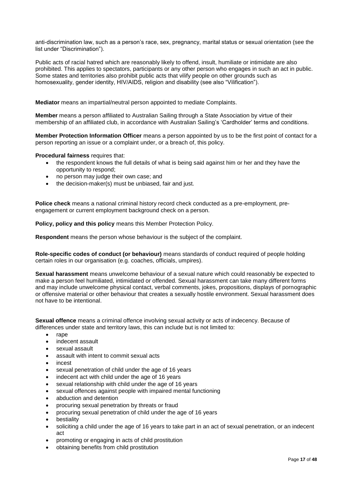anti-discrimination law, such as a person's race, sex, pregnancy, marital status or sexual orientation (see the list under "Discrimination").

Public acts of racial hatred which are reasonably likely to offend, insult, humiliate or intimidate are also prohibited. This applies to spectators, participants or any other person who engages in such an act in public. Some states and territories also prohibit public acts that vilify people on other grounds such as homosexuality, gender identity, HIV/AIDS, religion and disability (see also "Vilification").

**Mediator** means an impartial/neutral person appointed to mediate Complaints.

**Member** means a person affiliated to Australian Sailing through a State Association by virtue of their membership of an affiliated club, in accordance with Australian Sailing's 'Cardholder' terms and conditions.

**Member Protection Information Officer** means a person appointed by us to be the first point of contact for a person reporting an issue or a complaint under, or a breach of, this policy.

**Procedural fairness** requires that:

- the respondent knows the full details of what is being said against him or her and they have the opportunity to respond;
- no person may judge their own case; and
- the decision-maker(s) must be unbiased, fair and just.

**Police check** means a national criminal history record check conducted as a pre-employment, preengagement or current employment background check on a person.

**Policy, policy and this policy** means this Member Protection Policy.

**Respondent** means the person whose behaviour is the subject of the complaint.

**Role-specific codes of conduct (or behaviour)** means standards of conduct required of people holding certain roles in our organisation (e.g. coaches, officials, umpires).

**Sexual harassment** means unwelcome behaviour of a sexual nature which could reasonably be expected to make a person feel humiliated, intimidated or offended. Sexual harassment can take many different forms and may include unwelcome physical contact, verbal comments, jokes, propositions, displays of pornographic or offensive material or other behaviour that creates a sexually hostile environment. Sexual harassment does not have to be intentional.

**Sexual offence** means a criminal offence involving sexual activity or acts of indecency. Because of differences under state and territory laws, this can include but is not limited to:

- rape
- indecent assault
- sexual assault
- assault with intent to commit sexual acts
- incest
- sexual penetration of child under the age of 16 years
- indecent act with child under the age of 16 years
- sexual relationship with child under the age of 16 years
- sexual offences against people with impaired mental functioning
- abduction and detention
- procuring sexual penetration by threats or fraud
- procuring sexual penetration of child under the age of 16 years
- bestiality
- soliciting a child under the age of 16 years to take part in an act of sexual penetration, or an indecent act
- promoting or engaging in acts of child prostitution
- obtaining benefits from child prostitution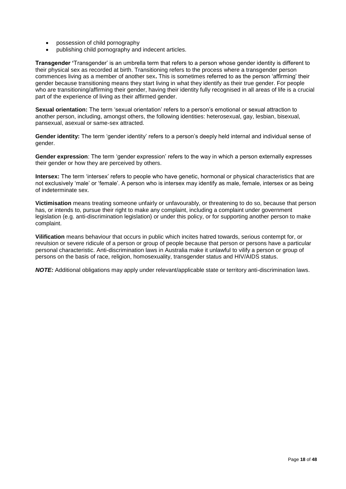- possession of child pornography
- publishing child pornography and indecent articles.

**Transgender '**Transgender' is an umbrella term that refers to a person whose gender identity is different to their physical sex as recorded at birth. Transitioning refers to the process where a transgender person commences living as a member of another sex**.** This is sometimes referred to as the person 'affirming' their gender because transitioning means they start living in what they identify as their true gender. For people who are transitioning/affirming their gender, having their identity fully recognised in all areas of life is a crucial part of the experience of living as their affirmed gender.

**Sexual orientation:** The term 'sexual orientation' refers to a person's emotional or sexual attraction to another person, including, amongst others, the following identities: heterosexual, gay, lesbian, bisexual, pansexual, asexual or same-sex attracted.

**Gender identity:** The term 'gender identity' refers to a person's deeply held internal and individual sense of gender.

**Gender expression**: The term 'gender expression' refers to the way in which a person externally expresses their gender or how they are perceived by others.

**Intersex:** The term 'intersex' refers to people who have genetic, hormonal or physical characteristics that are not exclusively 'male' or 'female'. A person who is intersex may identify as male, female, intersex or as being of indeterminate sex.

**Victimisation** means treating someone unfairly or unfavourably, or threatening to do so, because that person has, or intends to, pursue their right to make any complaint, including a complaint under government legislation (e.g. anti-discrimination legislation) or under this policy, or for supporting another person to make complaint.

**Vilification** means behaviour that occurs in public which incites hatred towards, serious contempt for, or revulsion or severe ridicule of a person or group of people because that person or persons have a particular personal characteristic. Anti-discrimination laws in Australia make it unlawful to vilify a person or group of persons on the basis of race, religion, homosexuality, transgender status and HIV/AIDS status.

*NOTE:* Additional obligations may apply under relevant/applicable state or territory anti-discrimination laws.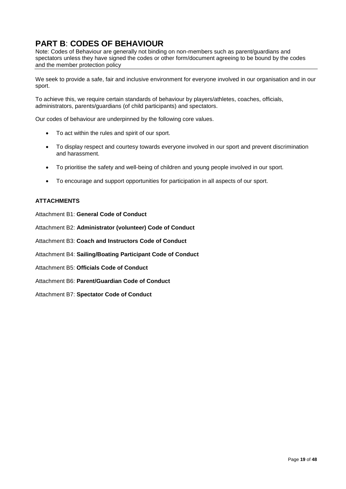# <span id="page-18-0"></span>**PART B**: **CODES OF BEHAVIOUR**

Note: Codes of Behaviour are generally not binding on non-members such as parent/guardians and spectators unless they have signed the codes or other form/document agreeing to be bound by the codes and the member protection policy

We seek to provide a safe, fair and inclusive environment for everyone involved in our organisation and in our sport.

To achieve this, we require certain standards of behaviour by players/athletes, coaches, officials, administrators, parents/guardians (of child participants) and spectators.

Our codes of behaviour are underpinned by the following core values.

- To act within the rules and spirit of our sport.
- To display respect and courtesy towards everyone involved in our sport and prevent discrimination and harassment.
- To prioritise the safety and well-being of children and young people involved in our sport.
- To encourage and support opportunities for participation in all aspects of our sport.

## **ATTACHMENTS**

Attachment B1: **General Code of Conduct**

Attachment B2: **Administrator (volunteer) Code of Conduct**

Attachment B3: **Coach and Instructors Code of Conduct**

Attachment B4: **Sailing/Boating Participant Code of Conduct**

Attachment B5: **Officials Code of Conduct**

Attachment B6: **Parent/Guardian Code of Conduct**

Attachment B7: **Spectator Code of Conduct**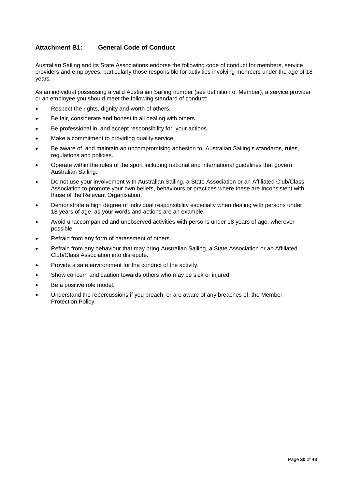## <span id="page-19-0"></span>**Attachment B1: General Code of Conduct**

Australian Sailing and its State Associations endorse the following code of conduct for members, service providers and employees, particularly those responsible for activities involving members under the age of 18 years.

As an individual possessing a valid Australian Sailing number (see definition of Member), a service provider or an employee you should meet the following standard of conduct:

- Respect the rights, dignity and worth of others.
- Be fair, considerate and honest in all dealing with others.
- Be professional in, and accept responsibility for, your actions.
- Make a commitment to providing quality service.
- Be aware of, and maintain an uncompromising adhesion to, Australian Sailing's standards, rules, regulations and policies.
- Operate within the rules of the sport including national and international guidelines that govern Australian Sailing.
- Do not use your involvement with Australian Sailing, a State Association or an Affiliated Club/Class Association to promote your own beliefs, behaviours or practices where these are inconsistent with those of the Relevant Organisation.
- Demonstrate a high degree of individual responsibility especially when dealing with persons under 18 years of age, as your words and actions are an example.
- Avoid unaccompanied and unobserved activities with persons under 18 years of age, wherever possible.
- Refrain from any form of harassment of others.
- Refrain from any behaviour that may bring Australian Sailing, a State Association or an Affiliated Club/Class Association into disrepute.
- Provide a safe environment for the conduct of the activity.
- Show concern and caution towards others who may be sick or injured.
- Be a positive role model.
- Understand the repercussions if you breach, or are aware of any breaches of, the Member Protection Policy.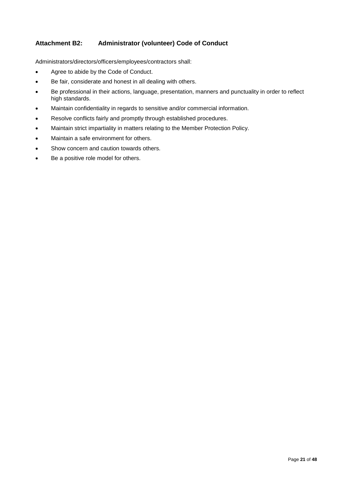## <span id="page-20-0"></span>**Attachment B2: Administrator (volunteer) Code of Conduct**

Administrators/directors/officers/employees/contractors shall:

- Agree to abide by the Code of Conduct.
- Be fair, considerate and honest in all dealing with others.
- Be professional in their actions, language, presentation, manners and punctuality in order to reflect high standards.
- Maintain confidentiality in regards to sensitive and/or commercial information.
- Resolve conflicts fairly and promptly through established procedures.
- Maintain strict impartiality in matters relating to the Member Protection Policy.
- Maintain a safe environment for others.
- Show concern and caution towards others.
- Be a positive role model for others.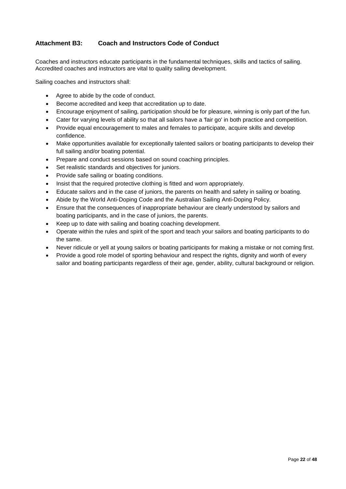## <span id="page-21-0"></span>**Attachment B3: Coach and Instructors Code of Conduct**

Coaches and instructors educate participants in the fundamental techniques, skills and tactics of sailing. Accredited coaches and instructors are vital to quality sailing development.

Sailing coaches and instructors shall:

- Agree to abide by the code of conduct.
- Become accredited and keep that accreditation up to date.
- Encourage enjoyment of sailing, participation should be for pleasure, winning is only part of the fun.
- Cater for varying levels of ability so that all sailors have a 'fair go' in both practice and competition.
- Provide equal encouragement to males and females to participate, acquire skills and develop confidence.
- Make opportunities available for exceptionally talented sailors or boating participants to develop their full sailing and/or boating potential.
- Prepare and conduct sessions based on sound coaching principles.
- Set realistic standards and objectives for juniors.
- Provide safe sailing or boating conditions.
- Insist that the required protective clothing is fitted and worn appropriately.
- Educate sailors and in the case of juniors, the parents on health and safety in sailing or boating.
- Abide by the World Anti-Doping Code and the Australian Sailing Anti-Doping Policy.
- Ensure that the consequences of inappropriate behaviour are clearly understood by sailors and boating participants, and in the case of juniors, the parents.
- Keep up to date with sailing and boating coaching development.
- Operate within the rules and spirit of the sport and teach your sailors and boating participants to do the same.
- Never ridicule or yell at young sailors or boating participants for making a mistake or not coming first.
- Provide a good role model of sporting behaviour and respect the rights, dignity and worth of every sailor and boating participants regardless of their age, gender, ability, cultural background or religion.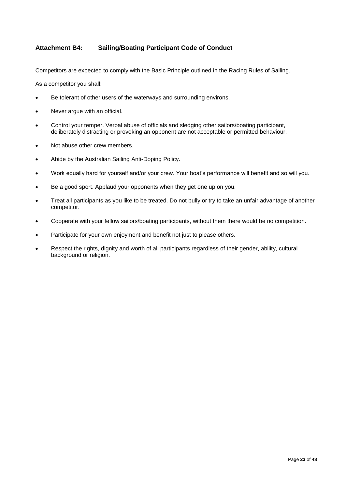## <span id="page-22-0"></span>**Attachment B4: Sailing/Boating Participant Code of Conduct**

Competitors are expected to comply with the Basic Principle outlined in the Racing Rules of Sailing.

As a competitor you shall:

- Be tolerant of other users of the waterways and surrounding environs.
- Never argue with an official.
- Control your temper. Verbal abuse of officials and sledging other sailors/boating participant, deliberately distracting or provoking an opponent are not acceptable or permitted behaviour.
- Not abuse other crew members.
- Abide by the Australian Sailing Anti-Doping Policy.
- Work equally hard for yourself and/or your crew. Your boat's performance will benefit and so will you.
- Be a good sport. Applaud your opponents when they get one up on you.
- Treat all participants as you like to be treated. Do not bully or try to take an unfair advantage of another competitor.
- Cooperate with your fellow sailors/boating participants, without them there would be no competition.
- Participate for your own enjoyment and benefit not just to please others.
- Respect the rights, dignity and worth of all participants regardless of their gender, ability, cultural background or religion.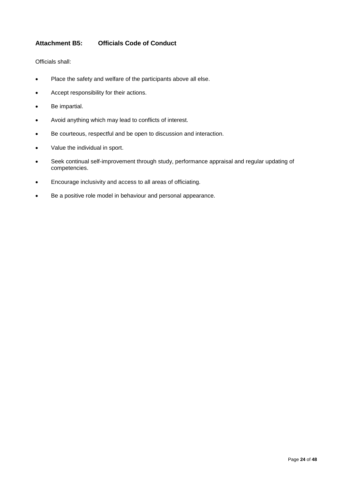## <span id="page-23-0"></span>**Attachment B5: Officials Code of Conduct**

Officials shall:

- Place the safety and welfare of the participants above all else.
- Accept responsibility for their actions.
- Be impartial.
- Avoid anything which may lead to conflicts of interest.
- Be courteous, respectful and be open to discussion and interaction.
- Value the individual in sport.
- Seek continual self-improvement through study, performance appraisal and regular updating of competencies.
- Encourage inclusivity and access to all areas of officiating.
- Be a positive role model in behaviour and personal appearance.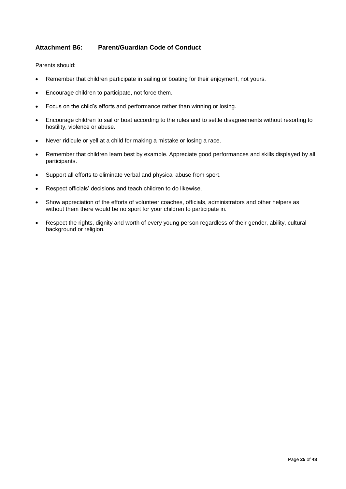## <span id="page-24-0"></span>**Attachment B6: Parent/Guardian Code of Conduct**

Parents should:

- Remember that children participate in sailing or boating for their enjoyment, not yours.
- Encourage children to participate, not force them.
- Focus on the child's efforts and performance rather than winning or losing.
- Encourage children to sail or boat according to the rules and to settle disagreements without resorting to hostility, violence or abuse.
- Never ridicule or yell at a child for making a mistake or losing a race.
- Remember that children learn best by example. Appreciate good performances and skills displayed by all participants.
- Support all efforts to eliminate verbal and physical abuse from sport.
- Respect officials' decisions and teach children to do likewise.
- Show appreciation of the efforts of volunteer coaches, officials, administrators and other helpers as without them there would be no sport for your children to participate in.
- Respect the rights, dignity and worth of every young person regardless of their gender, ability, cultural background or religion.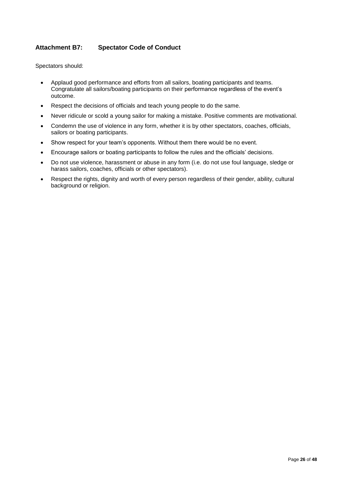## <span id="page-25-0"></span>**Attachment B7: Spectator Code of Conduct**

Spectators should:

- Applaud good performance and efforts from all sailors, boating participants and teams. Congratulate all sailors/boating participants on their performance regardless of the event's outcome.
- Respect the decisions of officials and teach young people to do the same.
- Never ridicule or scold a young sailor for making a mistake. Positive comments are motivational.
- Condemn the use of violence in any form, whether it is by other spectators, coaches, officials, sailors or boating participants.
- Show respect for your team's opponents. Without them there would be no event.
- Encourage sailors or boating participants to follow the rules and the officials' decisions.
- Do not use violence, harassment or abuse in any form (i.e. do not use foul language, sledge or harass sailors, coaches, officials or other spectators).
- Respect the rights, dignity and worth of every person regardless of their gender, ability, cultural background or religion.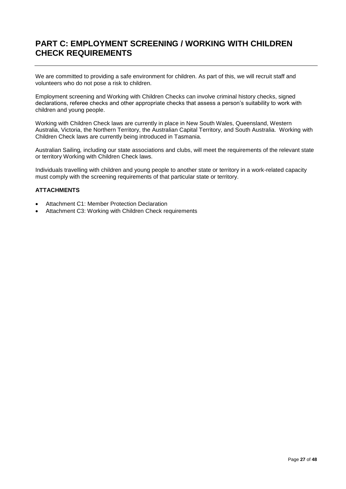# <span id="page-26-0"></span>**PART C: EMPLOYMENT SCREENING / WORKING WITH CHILDREN CHECK REQUIREMENTS**

We are committed to providing a safe environment for children. As part of this, we will recruit staff and volunteers who do not pose a risk to children.

Employment screening and Working with Children Checks can involve criminal history checks, signed declarations, referee checks and other appropriate checks that assess a person's suitability to work with children and young people.

Working with Children Check laws are currently in place in New South Wales, Queensland, Western Australia, Victoria, the Northern Territory, the Australian Capital Territory, and South Australia. Working with Children Check laws are currently being introduced in Tasmania.

Australian Sailing*,* including our state associations and clubs, will meet the requirements of the relevant state or territory Working with Children Check laws.

Individuals travelling with children and young people to another state or territory in a work-related capacity must comply with the screening requirements of that particular state or territory.

## **ATTACHMENTS**

- Attachment C1: Member Protection Declaration
- Attachment C3: Working with Children Check requirements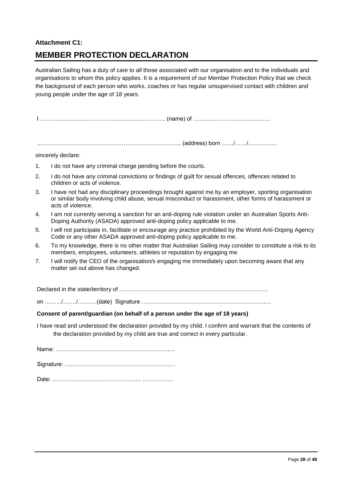## <span id="page-27-0"></span>**Attachment C1:**

# **MEMBER PROTECTION DECLARATION**

Australian Sailing has a duty of care to all those associated with our organisation and to the individuals and organisations to whom this policy applies. It is a requirement of our Member Protection Policy that we check the background of each person who works, coaches or has regular unsupervised contact with children and young people under the age of 18 years.

I ……………………………………………………….. (name) of ………………………………….

.……………………………………………………………….. (address) born ……/……/……………

sincerely declare:

- 1. I do not have any criminal charge pending before the courts.
- 2. I do not have any criminal convictions or findings of guilt for sexual offences, offences related to children or acts of violence.
- 3. I have not had any disciplinary proceedings brought against me by an employer, sporting organisation or similar body involving child abuse, sexual misconduct or harassment, other forms of harassment or acts of violence.
- 4. I am not currently serving a sanction for an anti-doping rule violation under an Australian Sports Anti-Doping Authority (ASADA) approved anti-doping policy applicable to me.
- 5. I will not participate in, facilitate or encourage any practice prohibited by the World Anti-Doping Agency Code or any other ASADA approved anti-doping policy applicable to me.
- 6. To my knowledge, there is no other matter that Australian Sailing may consider to constitute a risk to its members, employees, volunteers, athletes or reputation by engaging me.
- 7. I will notify the CEO of the organisation/s engaging me immediately upon becoming aware that any matter set out above has changed.

Declared in the state/territory of ……………………………………….………………………….

on …….../……./……….(date) Signature ………………………………………………………….

#### **Consent of parent/guardian (on behalf of a person under the age of 18 years)**

I have read and understood the declaration provided by my child. I confirm and warrant that the contents of the declaration provided by my child are true and correct in every particular.

Name: ……………………………………………….…….

Signature: …………………………………………………

Date: ………………………………………. …………….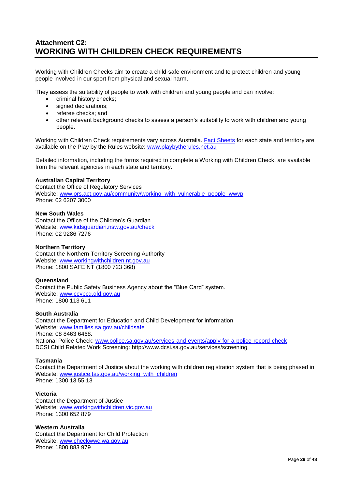# <span id="page-28-0"></span>**Attachment C2: WORKING WITH CHILDREN CHECK REQUIREMENTS**

Working with Children Checks aim to create a child-safe environment and to protect children and young people involved in our sport from physical and sexual harm.

They assess the suitability of people to work with children and young people and can involve:

- criminal history checks;
- signed declarations:
- referee checks; and
- other relevant background checks to assess a person's suitability to work with children and young people.

Working with Children Check requirements vary across Australia. [Fact Sheets](http://www.playbytherules.net.au/legal-stuff/child-protection/child-protection-laws-explained/screening) for each state and territory are available on the Play by the Rules website: [www.playbytherules.net.au](http://www.playbytherules.net.au/)

Detailed information, including the forms required to complete a Working with Children Check, are available from the relevant agencies in each state and territory.

#### **Australian Capital Territory**

Contact the Office of Regulatory Services Website: [www.ors.act.gov.au/community/working\\_with\\_vulnerable\\_people\\_wwvp](http://www.ors.act.gov.au/community/working_with_vulnerable_people_wwvp) Phone: 02 6207 3000

#### **New South Wales**

Contact the Office of the Children's Guardian Website: [www.kidsguardian.nsw.gov.au/](http://www.kidsguardian.nsw.gov.au/)check Phone: 02 9286 7276

## **Northern Territory**

Contact the Northern Territory Screening Authority Website: [www.workingwithchildren.nt.gov.au](http://www.workingwithchildren.nt.gov.au/) Phone: 1800 SAFE NT (1800 723 368)

## **Queensland**

Contact the Public Safety Business Agency about the "Blue Card" system. Website: [www.ccypcg.qld.gov.au](http://www.ccypcg.qld.gov.au/) Phone: 1800 113 611

#### **South Australia**

Contact the Department for Education and Child Development for information Website: [www.families.sa.gov.au/childsafe](http://www.families.sa.gov.au/childsafe) Phone: 08 8463 6468. National Police Check: [www.police.sa.gov.au/services-and-events/apply-for-a-police-record-check](http://www.police.sa.gov.au/services-and-events/apply-for-a-police-record-check) DCSI Child Related Work Screening: http://www.dcsi.sa.gov.au/services/screening

#### **Tasmania**

Contact the Department of Justice about the working with children registration system that is being phased in Website: [www.justice.tas.gov.au/working\\_with\\_children](http://www.justice.tas.gov.au/working_with_children) Phone: 1300 13 55 13

## **Victoria**

Contact the Department of Justice Website: [www.workingwithchildren.vic.gov.au](http://www.workingwithchildren.vic.gov.au/) Phone: 1300 652 879

**Western Australia** Contact the Department for Child Protection Website: [www.checkwwc.wa.gov.au](http://www.checkwwc.wa.gov.au/) Phone: 1800 883 979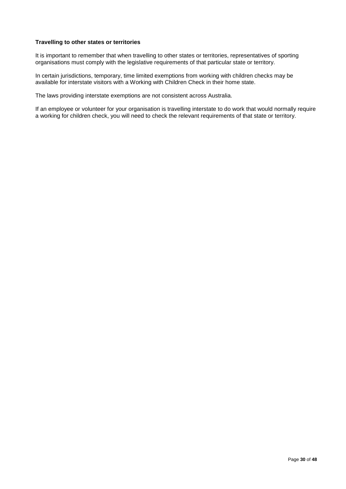#### **Travelling to other states or territories**

It is important to remember that when travelling to other states or territories, representatives of sporting organisations must comply with the legislative requirements of that particular state or territory.

In certain jurisdictions, temporary, time limited exemptions from working with children checks may be available for interstate visitors with a Working with Children Check in their home state.

The laws providing interstate exemptions are not consistent across Australia.

If an employee or volunteer for your organisation is travelling interstate to do work that would normally require a working for children check, you will need to check the relevant requirements of that state or territory.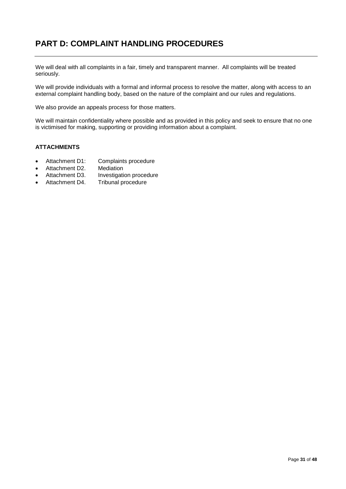# <span id="page-30-0"></span>**PART D: COMPLAINT HANDLING PROCEDURES**

We will deal with all complaints in a fair, timely and transparent manner. All complaints will be treated seriously.

We will provide individuals with a formal and informal process to resolve the matter, along with access to an external complaint handling body, based on the nature of the complaint and our rules and regulations.

We also provide an appeals process for those matters.

We will maintain confidentiality where possible and as provided in this policy and seek to ensure that no one is victimised for making, supporting or providing information about a complaint.

#### **ATTACHMENTS**

- Attachment D1: Complaints procedure
- 
- Attachment D2. Mediation<br>Attachment D3. Investigati Attachment D3. Investigation procedure<br>Attachment D4. Tribunal procedure
- Tribunal procedure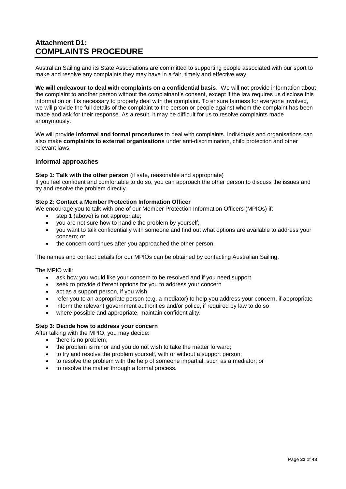# <span id="page-31-0"></span>**Attachment D1: COMPLAINTS PROCEDURE**

Australian Sailing and its State Associations are committed to supporting people associated with our sport to make and resolve any complaints they may have in a fair, timely and effective way.

**We will endeavour to deal with complaints on a confidential basis**. We will not provide information about the complaint to another person without the complainant's consent, except if the law requires us disclose this information or it is necessary to properly deal with the complaint. To ensure fairness for everyone involved, we will provide the full details of the complaint to the person or people against whom the complaint has been made and ask for their response. As a result, it may be difficult for us to resolve complaints made anonymously.

We will provide **informal and formal procedures** to deal with complaints. Individuals and organisations can also make **complaints to external organisations** under anti-discrimination, child protection and other relevant laws.

## **Informal approaches**

#### **Step 1: Talk with the other person** (if safe, reasonable and appropriate)

If you feel confident and comfortable to do so, you can approach the other person to discuss the issues and try and resolve the problem directly.

## **Step 2: Contact a Member Protection Information Officer**

We encourage you to talk with one of our Member Protection Information Officers (MPIOs) if:

- step 1 (above) is not appropriate;
- you are not sure how to handle the problem by yourself;
- you want to talk confidentially with someone and find out what options are available to address your concern; or
- the concern continues after you approached the other person.

The names and contact details for our MPIOs can be obtained by contacting Australian Sailing.

The MPIO will:

- ask how you would like your concern to be resolved and if you need support
- seek to provide different options for you to address your concern
- act as a support person, if you wish
- refer you to an appropriate person (e.g. a mediator) to help you address your concern, if appropriate
- inform the relevant government authorities and/or police, if required by law to do so
- where possible and appropriate, maintain confidentiality.

## **Step 3: Decide how to address your concern**

- After talking with the MPIO, you may decide:
	- there is no problem;
	- the problem is minor and you do not wish to take the matter forward;
	- to try and resolve the problem yourself, with or without a support person;
	- to resolve the problem with the help of someone impartial, such as a mediator; or
	- to resolve the matter through a formal process.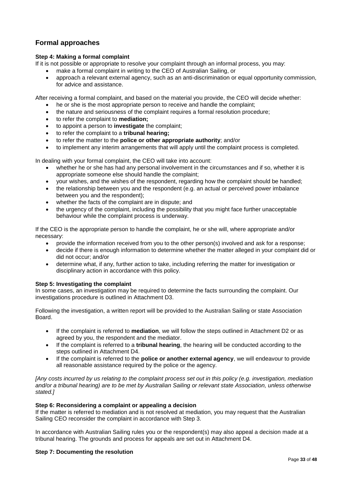## **Formal approaches**

## **Step 4: Making a formal complaint**

If it is not possible or appropriate to resolve your complaint through an informal process, you may:

- make a formal complaint in writing to the CEO of Australian Sailing, or
- approach a relevant external agency, such as an anti-discrimination or equal opportunity commission, for advice and assistance.

After receiving a formal complaint, and based on the material you provide, the CEO will decide whether:

- he or she is the most appropriate person to receive and handle the complaint;
- the nature and seriousness of the complaint requires a formal resolution procedure;
- to refer the complaint to **mediation;**
- to appoint a person to **investigate** the complaint;
- to refer the complaint to a **tribunal hearing;**
- to refer the matter to the **police or other appropriate authority**; and/or
- to implement any interim arrangements that will apply until the complaint process is completed.

In dealing with your formal complaint, the CEO will take into account:

- whether he or she has had any personal involvement in the circumstances and if so, whether it is appropriate someone else should handle the complaint;
- your wishes, and the wishes of the respondent, regarding how the complaint should be handled;
- the relationship between you and the respondent (e.g. an actual or perceived power imbalance between you and the respondent);
- whether the facts of the complaint are in dispute; and
- the urgency of the complaint, including the possibility that you might face further unacceptable behaviour while the complaint process is underway.

If the CEO is the appropriate person to handle the complaint, he or she will, where appropriate and/or necessary:

- provide the information received from you to the other person(s) involved and ask for a response;
- decide if there is enough information to determine whether the matter alleged in your complaint did or did not occur; and/or
- determine what, if any, further action to take, including referring the matter for investigation or disciplinary action in accordance with this policy.

#### **Step 5: Investigating the complaint**

In some cases, an investigation may be required to determine the facts surrounding the complaint. Our investigations procedure is outlined in Attachment D3.

Following the investigation, a written report will be provided to the Australian Sailing or state Association Board.

- If the complaint is referred to **mediation**, we will follow the steps outlined in Attachment D2 or as agreed by you, the respondent and the mediator.
- If the complaint is referred to a **tribunal hearing**, the hearing will be conducted according to the steps outlined in Attachment D4.
- If the complaint is referred to the **police or another external agency**, we will endeavour to provide all reasonable assistance required by the police or the agency.

*[Any costs incurred by us relating to the complaint process set out in this policy (e.g. investigation, mediation and/or a tribunal hearing) are to be met by Australian Sailing or relevant state Association, unless otherwise stated.]*

#### **Step 6: Reconsidering a complaint or appealing a decision**

If the matter is referred to mediation and is not resolved at mediation, you may request that the Australian Sailing CEO reconsider the complaint in accordance with Step 3.

In accordance with Australian Sailing rules you or the respondent(s) may also appeal a decision made at a tribunal hearing. The grounds and process for appeals are set out in Attachment D4.

## **Step 7: Documenting the resolution**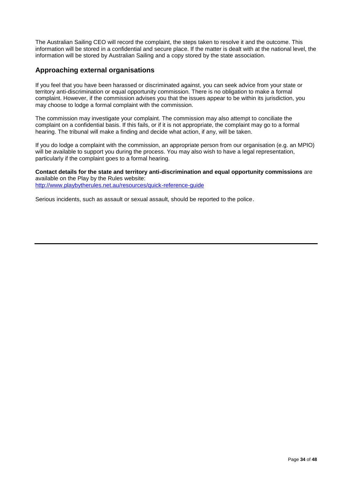The Australian Sailing CEO will record the complaint, the steps taken to resolve it and the outcome. This information will be stored in a confidential and secure place. If the matter is dealt with at the national level, the information will be stored by Australian Sailing and a copy stored by the state association.

## **Approaching external organisations**

If you feel that you have been harassed or discriminated against, you can seek advice from your state or territory anti-discrimination or equal opportunity commission. There is no obligation to make a formal complaint. However, if the commission advises you that the issues appear to be within its jurisdiction, you may choose to lodge a formal complaint with the commission.

The commission may investigate your complaint. The commission may also attempt to conciliate the complaint on a confidential basis. If this fails, or if it is not appropriate, the complaint may go to a formal hearing. The tribunal will make a finding and decide what action, if any, will be taken.

If you do lodge a complaint with the commission, an appropriate person from our organisation (e.g. an MPIO) will be available to support you during the process. You may also wish to have a legal representation, particularly if the complaint goes to a formal hearing.

**Contact details for the state and territory anti-discrimination and equal opportunity commissions** are available on the Play by the Rules website:

<http://www.playbytherules.net.au/resources/quick-reference-guide>

Serious incidents, such as assault or sexual assault, should be reported to the police.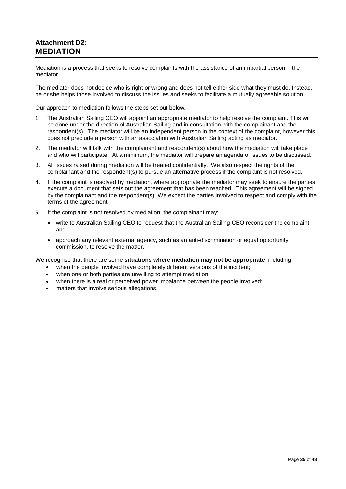# <span id="page-34-0"></span>**Attachment D2: MEDIATION**

Mediation is a process that seeks to resolve complaints with the assistance of an impartial person – the mediator.

The mediator does not decide who is right or wrong and does not tell either side what they must do. Instead, he or she helps those involved to discuss the issues and seeks to facilitate a mutually agreeable solution.

Our approach to mediation follows the steps set out below*.*

- 1. The Australian Sailing CEO will appoint an appropriate mediator to help resolve the complaint. This will be done under the direction of Australian Sailing and in consultation with the complainant and the respondent(s). The mediator will be an independent person in the context of the complaint, however this does not preclude a person with an association with Australian Sailing acting as mediator.
- 2. The mediator will talk with the complainant and respondent(s) about how the mediation will take place and who will participate. At a minimum, the mediator will prepare an agenda of issues to be discussed.
- 3. All issues raised during mediation will be treated confidentially. We also respect the rights of the complainant and the respondent(s) to pursue an alternative process if the complaint is not resolved.
- 4. If the complaint is resolved by mediation, where appropriate the mediator may seek to ensure the parties execute a document that sets out the agreement that has been reached. This agreement will be signed by the complainant and the respondent(s). We expect the parties involved to respect and comply with the terms of the agreement.
- 5. If the complaint is not resolved by mediation, the complainant may:
	- write to Australian Sailing CEO to request that the Australian Sailing CEO reconsider the complaint; and
	- approach any relevant external agency, such as an anti-discrimination or equal opportunity commission, to resolve the matter.

We recognise that there are some **situations where mediation may not be appropriate**, including:

- when the people involved have completely different versions of the incident;
- when one or both parties are unwilling to attempt mediation;
- when there is a real or perceived power imbalance between the people involved;
- matters that involve serious allegations.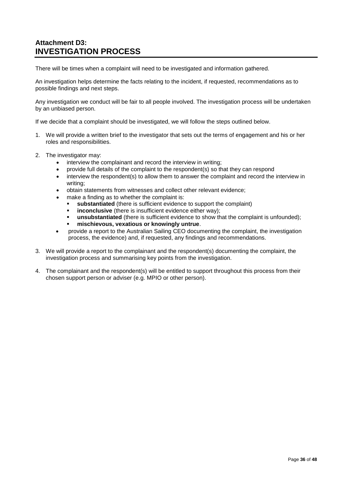# <span id="page-35-0"></span>**Attachment D3: INVESTIGATION PROCESS**

There will be times when a complaint will need to be investigated and information gathered.

An investigation helps determine the facts relating to the incident, if requested, recommendations as to possible findings and next steps.

Any investigation we conduct will be fair to all people involved. The investigation process will be undertaken by an unbiased person.

If we decide that a complaint should be investigated, we will follow the steps outlined below.

- 1. We will provide a written brief to the investigator that sets out the terms of engagement and his or her roles and responsibilities.
- 2. The investigator may:
	- interview the complainant and record the interview in writing;
	- provide full details of the complaint to the respondent(s) so that they can respond
	- interview the respondent(s) to allow them to answer the complaint and record the interview in writing;
	- obtain statements from witnesses and collect other relevant evidence;
	- make a finding as to whether the complaint is:
		- **substantiated** (there is sufficient evidence to support the complaint)
		- **inconclusive** (there is insufficient evidence either way);
		- **unsubstantiated** (there is sufficient evidence to show that the complaint is unfounded);
		- **mischievous, vexatious or knowingly untrue**.
	- provide a report to the Australian Sailing CEO documenting the complaint, the investigation process, the evidence) and, if requested, any findings and recommendations.
- 3. We will provide a report to the complainant and the respondent(s) documenting the complaint, the investigation process and summarising key points from the investigation.
- 4. The complainant and the respondent(s) will be entitled to support throughout this process from their chosen support person or adviser (e.g. MPIO or other person).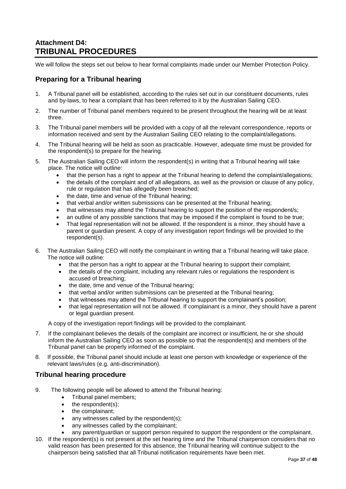# <span id="page-36-0"></span>**Attachment D4: TRIBUNAL PROCEDURES**

We will follow the steps set out below to hear formal complaints made under our Member Protection Policy.

## **Preparing for a Tribunal hearing**

- 1. A Tribunal panel will be established, according to the rules set out in our constituent documents, rules and by-laws, to hear a complaint that has been referred to it by the Australian Sailing CEO.
- 2. The number of Tribunal panel members required to be present throughout the hearing will be at least three.
- 3. The Tribunal panel members will be provided with a copy of all the relevant correspondence, reports or information received and sent by the Australian Sailing CEO relating to the complaint/allegations.
- 4. The Tribunal hearing will be held as soon as practicable. However, adequate time must be provided for the respondent(s) to prepare for the hearing.
- 5. The Australian Sailing CEO will inform the respondent(s) in writing that a Tribunal hearing will take place. The notice will outline:
	- that the person has a right to appear at the Tribunal hearing to defend the complaint/allegations;
	- the details of the complaint and of all allegations, as well as the provision or clause of any policy, rule or regulation that has allegedly been breached;
	- the date, time and venue of the Tribunal hearing;
	- that verbal and/or written submissions can be presented at the Tribunal hearing;
	- that witnesses may attend the Tribunal hearing to support the position of the respondent/s;
	- an outline of any possible sanctions that may be imposed if the complaint is found to be true;
	- That legal representation will not be allowed. If the respondent is a minor, they should have a parent or guardian present. A copy of any investigation report findings will be provided to the respondent(s).
- 6. The Australian Sailing CEO will notify the complainant in writing that a Tribunal hearing will take place. The notice will outline:
	- that the person has a right to appear at the Tribunal hearing to support their complaint;
	- the details of the complaint, including any relevant rules or regulations the respondent is accused of breaching;
	- the date, time and venue of the Tribunal hearing;
	- that verbal and/or written submissions can be presented at the Tribunal hearing;
	- that witnesses may attend the Tribunal hearing to support the complainant's position;
	- that legal representation will not be allowed. If complainant is a minor, they should have a parent or legal guardian present.

A copy of the investigation report findings will be provided to the complainant.

- 7. If the complainant believes the details of the complaint are incorrect or insufficient, he or she should inform the Australian Sailing CEO as soon as possible so that the respondent(s) and members of the Tribunal panel can be properly informed of the complaint.
- 8. If possible, the Tribunal panel should include at least one person with knowledge or experience of the relevant laws/rules (e.g. anti-discrimination).

## **Tribunal hearing procedure**

- 9. The following people will be allowed to attend the Tribunal hearing:
	- Tribunal panel members;
	- $\bullet$  the respondent(s);
	- the complainant:
	- any witnesses called by the respondent(s);
	- any witnesses called by the complainant;
	- any parent/guardian or support person required to support the respondent or the complainant.
- 10. If the respondent(s) is not present at the set hearing time and the Tribunal chairperson considers that no valid reason has been presented for this absence, the Tribunal hearing will continue subject to the chairperson being satisfied that all Tribunal notification requirements have been met.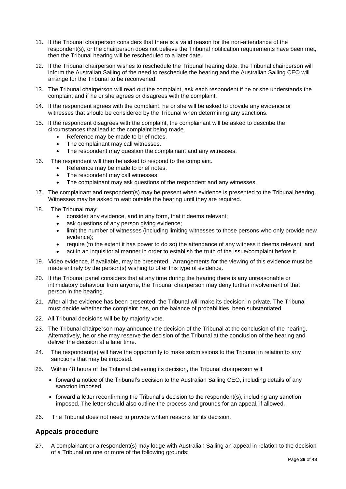- 11. If the Tribunal chairperson considers that there is a valid reason for the non-attendance of the respondent(s), or the chairperson does not believe the Tribunal notification requirements have been met, then the Tribunal hearing will be rescheduled to a later date.
- 12. If the Tribunal chairperson wishes to reschedule the Tribunal hearing date, the Tribunal chairperson will inform the Australian Sailing of the need to reschedule the hearing and the Australian Sailing CEO will arrange for the Tribunal to be reconvened.
- 13. The Tribunal chairperson will read out the complaint, ask each respondent if he or she understands the complaint and if he or she agrees or disagrees with the complaint.
- 14. If the respondent agrees with the complaint, he or she will be asked to provide any evidence or witnesses that should be considered by the Tribunal when determining any sanctions.
- 15. If the respondent disagrees with the complaint, the complainant will be asked to describe the circumstances that lead to the complaint being made.
	- Reference may be made to brief notes.
	- The complainant may call witnesses.
	- The respondent may question the complainant and any witnesses.
- 16. The respondent will then be asked to respond to the complaint.
	- Reference may be made to brief notes.
	- The respondent may call witnesses.
	- The complainant may ask questions of the respondent and any witnesses.
- 17. The complainant and respondent(s) may be present when evidence is presented to the Tribunal hearing. Witnesses may be asked to wait outside the hearing until they are required.
- 18. The Tribunal may:
	- consider any evidence, and in any form, that it deems relevant;
	- ask questions of any person giving evidence;
	- limit the number of witnesses (including limiting witnesses to those persons who only provide new evidence);
	- require (to the extent it has power to do so) the attendance of any witness it deems relevant; and
	- act in an inquisitorial manner in order to establish the truth of the issue/complaint before it.
- 19. Video evidence, if available, may be presented. Arrangements for the viewing of this evidence must be made entirely by the person(s) wishing to offer this type of evidence.
- 20. If the Tribunal panel considers that at any time during the hearing there is any unreasonable or intimidatory behaviour from anyone, the Tribunal chairperson may deny further involvement of that person in the hearing.
- 21. After all the evidence has been presented, the Tribunal will make its decision in private. The Tribunal must decide whether the complaint has, on the balance of probabilities, been substantiated.
- 22. All Tribunal decisions will be by majority vote.
- 23. The Tribunal chairperson may announce the decision of the Tribunal at the conclusion of the hearing. Alternatively, he or she may reserve the decision of the Tribunal at the conclusion of the hearing and deliver the decision at a later time.
- 24. The respondent(s) will have the opportunity to make submissions to the Tribunal in relation to any sanctions that may be imposed.
- 25. Within 48 hours of the Tribunal delivering its decision, the Tribunal chairperson will:
	- forward a notice of the Tribunal's decision to the Australian Sailing CEO, including details of any sanction imposed.
	- forward a letter reconfirming the Tribunal's decision to the respondent(s), including any sanction imposed. The letter should also outline the process and grounds for an appeal, if allowed.
- 26. The Tribunal does not need to provide written reasons for its decision.

## **Appeals procedure**

27. A complainant or a respondent(s) may lodge with Australian Sailing an appeal in relation to the decision of a Tribunal on one or more of the following grounds: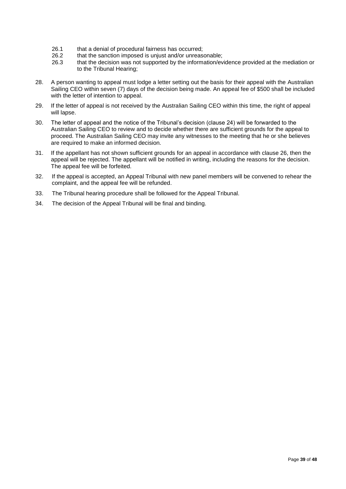- 26.1 that a denial of procedural fairness has occurred;<br>26.2 that the sanction imposed is uniust and/or unrease
- 26.2 that the sanction imposed is unjust and/or unreasonable;<br>26.3 that the decision was not supported by the information/ev
- that the decision was not supported by the information/evidence provided at the mediation or to the Tribunal Hearing;
- 28. A person wanting to appeal must lodge a letter setting out the basis for their appeal with the Australian Sailing CEO within seven (7) days of the decision being made. An appeal fee of \$500 shall be included with the letter of intention to appeal.
- 29. If the letter of appeal is not received by the Australian Sailing CEO within this time, the right of appeal will lapse.
- 30. The letter of appeal and the notice of the Tribunal's decision (clause 24) will be forwarded to the Australian Sailing CEO to review and to decide whether there are sufficient grounds for the appeal to proceed. The Australian Sailing CEO may invite any witnesses to the meeting that he or she believes are required to make an informed decision.
- 31. If the appellant has not shown sufficient grounds for an appeal in accordance with clause 26, then the appeal will be rejected. The appellant will be notified in writing, including the reasons for the decision. The appeal fee will be forfeited.
- 32. If the appeal is accepted, an Appeal Tribunal with new panel members will be convened to rehear the complaint, and the appeal fee will be refunded.
- 33. The Tribunal hearing procedure shall be followed for the Appeal Tribunal.
- 34. The decision of the Appeal Tribunal will be final and binding.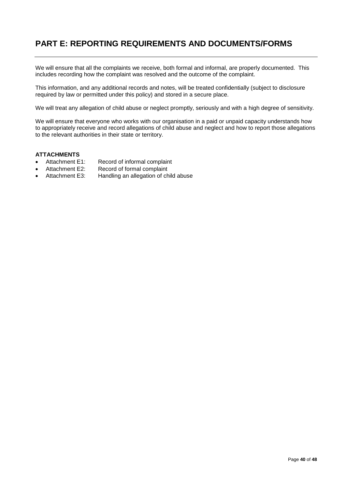# <span id="page-39-0"></span>**PART E: REPORTING REQUIREMENTS AND DOCUMENTS/FORMS**

We will ensure that all the complaints we receive, both formal and informal, are properly documented. This includes recording how the complaint was resolved and the outcome of the complaint.

This information, and any additional records and notes, will be treated confidentially (subject to disclosure required by law or permitted under this policy) and stored in a secure place.

We will treat any allegation of child abuse or neglect promptly, seriously and with a high degree of sensitivity.

We will ensure that everyone who works with our organisation in a paid or unpaid capacity understands how to appropriately receive and record allegations of child abuse and neglect and how to report those allegations to the relevant authorities in their state or territory.

# **ATTACHMENTS**<br>• Attachment E1:

- Attachment E1: Record of informal complaint<br>Attachment E2: Record of formal complaint
- Record of formal complaint
- Attachment E3: Handling an allegation of child abuse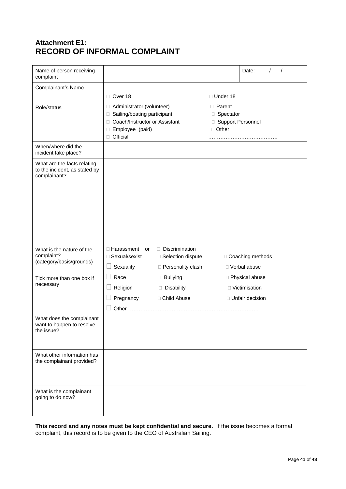# <span id="page-40-0"></span>**Attachment E1: RECORD OF INFORMAL COMPLAINT**

| Name of person receiving<br>complaint                                        |                                                                                                                                                   |                                              |                                                                      | Date:                               |
|------------------------------------------------------------------------------|---------------------------------------------------------------------------------------------------------------------------------------------------|----------------------------------------------|----------------------------------------------------------------------|-------------------------------------|
| Complainant's Name                                                           |                                                                                                                                                   |                                              |                                                                      |                                     |
|                                                                              | Over 18                                                                                                                                           |                                              | □ Under 18                                                           |                                     |
| Role/status                                                                  | Administrator (volunteer)<br>Sailing/boating participant<br>$\Box$<br>Coach/Instructor or Assistant<br>0<br>Employee (paid)<br>$\Box$<br>Official |                                              | <b>D</b> Parent<br>□ Spectator<br>□ Support Personnel<br>Other<br>O. |                                     |
| When/where did the<br>incident take place?                                   |                                                                                                                                                   |                                              |                                                                      |                                     |
| What are the facts relating<br>to the incident, as stated by<br>complainant? |                                                                                                                                                   |                                              |                                                                      |                                     |
| What is the nature of the<br>complaint?                                      | □ Harassment<br><b>or</b><br>□ Sexual/sexist                                                                                                      | $\Box$ Discrimination<br>□ Selection dispute |                                                                      | □ Coaching methods                  |
| (category/basis/grounds)                                                     | Sexuality                                                                                                                                         | □ Personality clash                          |                                                                      | □ Verbal abuse                      |
| Tick more than one box if<br>necessary                                       | Race<br>Religion                                                                                                                                  | <b>Bullying</b><br>Disability                |                                                                      | □ Physical abuse<br>□ Victimisation |
|                                                                              | Pregnancy                                                                                                                                         | □ Child Abuse                                |                                                                      | □ Unfair decision                   |
|                                                                              |                                                                                                                                                   |                                              |                                                                      |                                     |
| What does the complainant<br>want to happen to resolve<br>the issue?         |                                                                                                                                                   |                                              |                                                                      |                                     |
| What other information has<br>the complainant provided?                      |                                                                                                                                                   |                                              |                                                                      |                                     |
| What is the complainant<br>going to do now?                                  |                                                                                                                                                   |                                              |                                                                      |                                     |

**This record and any notes must be kept confidential and secure.** If the issue becomes a formal complaint, this record is to be given to the CEO of Australian Sailing.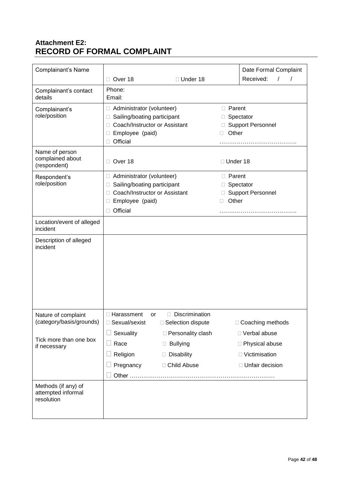# <span id="page-41-0"></span>**Attachment E2: RECORD OF FORMAL COMPLAINT**

| Complainant's Name                                      |                                                                                                                                                             |                                                                       |                             | Date Formal Complaint                                                      |
|---------------------------------------------------------|-------------------------------------------------------------------------------------------------------------------------------------------------------------|-----------------------------------------------------------------------|-----------------------------|----------------------------------------------------------------------------|
|                                                         | Over 18<br>П                                                                                                                                                | □ Under 18                                                            |                             | Received:<br>$\prime$                                                      |
| Complainant's contact<br>details                        | Phone:<br>Email:                                                                                                                                            |                                                                       |                             |                                                                            |
| Complainant's<br>role/position                          | Administrator (volunteer)<br>□<br>Sailing/boating participant<br>□<br>Coach/Instructor or Assistant<br>П<br>Employee (paid)<br>□<br>Official<br>$\Box$      |                                                                       | □ Parent<br>Other<br>П      | Spectator<br>□ Support Personnel                                           |
| Name of person<br>complained about<br>(respondent)      | Over 18<br>$\Box$                                                                                                                                           |                                                                       | □ Under 18                  |                                                                            |
| Respondent's<br>role/position                           | Administrator (volunteer)<br>□<br>Sailing/boating participant<br>$\Box$<br>Coach/Instructor or Assistant<br>$\Box$<br>Employee (paid)<br>□<br>Official<br>П |                                                                       | $\Box$ Parent<br>Other<br>П | Spectator<br>□ Support Personnel                                           |
| Location/event of alleged<br>incident                   |                                                                                                                                                             |                                                                       |                             |                                                                            |
| Description of alleged<br>incident                      |                                                                                                                                                             |                                                                       |                             |                                                                            |
| Nature of complaint<br>(category/basis/grounds)         | □ Harassment<br>or<br>□ Sexual/sexist                                                                                                                       | Discrimination<br>$\Box$ Selection dispute                            |                             | □ Coaching methods                                                         |
| Tick more than one box<br>if necessary                  | Sexuality<br>Race<br>Religion<br>Pregnancy                                                                                                                  | □ Personality clash<br><b>Bullying</b><br>Disability<br>□ Child Abuse |                             | □ Verbal abuse<br>□ Physical abuse<br>□ Victimisation<br>□ Unfair decision |
| Methods (if any) of<br>attempted informal<br>resolution |                                                                                                                                                             |                                                                       |                             |                                                                            |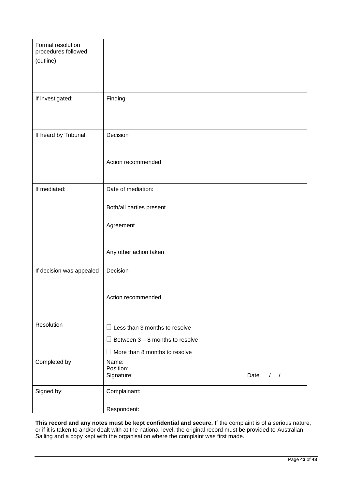| Formal resolution        |                                     |
|--------------------------|-------------------------------------|
| procedures followed      |                                     |
| (outline)                |                                     |
|                          |                                     |
|                          |                                     |
|                          |                                     |
| If investigated:         | Finding                             |
|                          |                                     |
|                          |                                     |
|                          |                                     |
|                          | Decision                            |
| If heard by Tribunal:    |                                     |
|                          |                                     |
|                          |                                     |
|                          | Action recommended                  |
|                          |                                     |
|                          |                                     |
| If mediated:             | Date of mediation:                  |
|                          |                                     |
|                          | Both/all parties present            |
|                          |                                     |
|                          | Agreement                           |
|                          |                                     |
|                          |                                     |
|                          | Any other action taken              |
|                          |                                     |
| If decision was appealed | Decision                            |
|                          |                                     |
|                          |                                     |
|                          |                                     |
|                          | Action recommended                  |
|                          |                                     |
|                          |                                     |
| Resolution               | Less than 3 months to resolve       |
|                          |                                     |
|                          | Between $3 - 8$ months to resolve   |
|                          | More than 8 months to resolve       |
| Completed by             | Name:                               |
|                          | Position:                           |
|                          | Signature:<br>Date<br>$\frac{1}{2}$ |
|                          |                                     |
| Signed by:               | Complainant:                        |
|                          |                                     |
|                          | Respondent:                         |

**This record and any notes must be kept confidential and secure.** If the complaint is of a serious nature, or if it is taken to and/or dealt with at the national level, the original record must be provided to Australian Sailing and a copy kept with the organisation where the complaint was first made.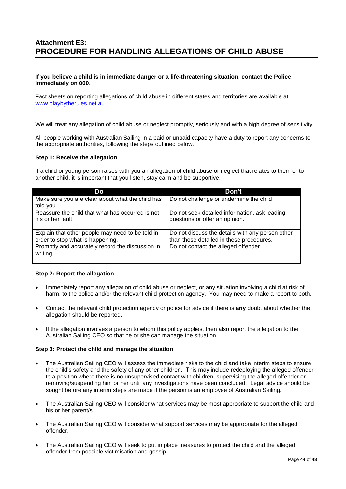## <span id="page-43-0"></span>**Attachment E3: PROCEDURE FOR HANDLING ALLEGATIONS OF CHILD ABUSE**

#### **If you believe a child is in immediate danger or a life-threatening situation**, **contact the Police immediately on 000**.

Fact sheets on reporting allegations of child abuse in different states and territories are available at [www.playbytherules.net.au](http://www.playbytherules.net.au/)

We will treat any allegation of child abuse or neglect promptly, seriously and with a high degree of sensitivity.

All people working with Australian Sailing in a paid or unpaid capacity have a duty to report any concerns to the appropriate authorities, following the steps outlined below.

#### **Step 1: Receive the allegation**

If a child or young person raises with you an allegation of child abuse or neglect that relates to them or to another child, it is important that you listen, stay calm and be supportive.

| Do                                               | Don't                                            |
|--------------------------------------------------|--------------------------------------------------|
| Make sure you are clear about what the child has | Do not challenge or undermine the child          |
| told you                                         |                                                  |
| Reassure the child that what has occurred is not | Do not seek detailed information, ask leading    |
| his or her fault                                 | questions or offer an opinion.                   |
|                                                  |                                                  |
| Explain that other people may need to be told in | Do not discuss the details with any person other |
| order to stop what is happening.                 | than those detailed in these procedures.         |
| Promptly and accurately record the discussion in | Do not contact the alleged offender.             |
| writing.                                         |                                                  |
|                                                  |                                                  |

#### **Step 2: Report the allegation**

- Immediately report any allegation of child abuse or neglect, or any situation involving a child at risk of harm, to the police and/or the relevant child protection agency. You may need to make a report to both.
- Contact the relevant child protection agency or police for advice if there is **any** doubt about whether the allegation should be reported.
- If the allegation involves a person to whom this policy applies, then also report the allegation to the Australian Sailing CEO so that he or she can manage the situation.

#### **Step 3: Protect the child and manage the situation**

- The Australian Sailing CEO will assess the immediate risks to the child and take interim steps to ensure the child's safety and the safety of any other children. This may include redeploying the alleged offender to a position where there is no unsupervised contact with children, supervising the alleged offender or removing/suspending him or her until any investigations have been concluded. Legal advice should be sought before any interim steps are made if the person is an employee of Australian Sailing*.*
- The Australian Sailing CEO will consider what services may be most appropriate to support the child and his or her parent/s.
- The Australian Sailing CEO will consider what support services may be appropriate for the alleged offender.
- The Australian Sailing CEO will seek to put in place measures to protect the child and the alleged offender from possible victimisation and gossip.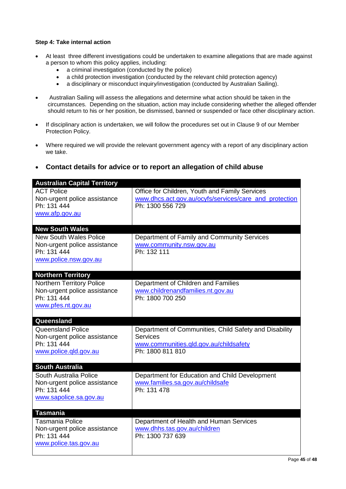#### **Step 4: Take internal action**

- At least three different investigations could be undertaken to examine allegations that are made against a person to whom this policy applies, including:
	- a criminal investigation (conducted by the police)
	- a child protection investigation (conducted by the relevant child protection agency)
	- a disciplinary or misconduct inquiry/investigation (conducted by Australian Sailing).
- Australian Sailing will assess the allegations and determine what action should be taken in the circumstances. Depending on the situation, action may include considering whether the alleged offender should return to his or her position, be dismissed, banned or suspended or face other disciplinary action.
- If disciplinary action is undertaken, we will follow the procedures set out in Clause 9 of our Member Protection Policy.
- Where required we will provide the relevant government agency with a report of any disciplinary action we take.

## **Contact details for advice or to report an allegation of child abuse**

| <b>Australian Capital Territory</b>         |                                                            |
|---------------------------------------------|------------------------------------------------------------|
| <b>ACT Police</b>                           | Office for Children, Youth and Family Services             |
| Non-urgent police assistance                | www.dhcs.act.gov.au/ocyfs/services/care and protection     |
| Ph: 131 444                                 | Ph: 1300 556 729                                           |
| www.afp.gov.au                              |                                                            |
|                                             |                                                            |
| <b>New South Wales</b>                      |                                                            |
| <b>New South Wales Police</b>               | Department of Family and Community Services                |
| Non-urgent police assistance                | www.community.nsw.gov.au                                   |
| Ph: 131 444                                 | Ph: 132 111                                                |
| www.police.nsw.gov.au                       |                                                            |
|                                             |                                                            |
| <b>Northern Territory</b>                   |                                                            |
| <b>Northern Territory Police</b>            | Department of Children and Families                        |
| Non-urgent police assistance<br>Ph: 131 444 | www.childrenandfamilies.nt.gov.au<br>Ph: 1800 700 250      |
| www.pfes.nt.gov.au                          |                                                            |
|                                             |                                                            |
| Queensland                                  |                                                            |
| <b>Queensland Police</b>                    | Department of Communities, Child Safety and Disability     |
|                                             |                                                            |
|                                             | <b>Services</b>                                            |
| Non-urgent police assistance<br>Ph: 131 444 |                                                            |
| www.police.qld.gov.au                       | www.communities.qld.gov.au/childsafety<br>Ph: 1800 811 810 |
|                                             |                                                            |
| <b>South Australia</b>                      |                                                            |
| South Australia Police                      | Department for Education and Child Development             |
| Non-urgent police assistance                | www.families.sa.gov.au/childsafe                           |
| Ph: 131 444                                 | Ph: 131 478                                                |
| www.sapolice.sa.gov.au                      |                                                            |
|                                             |                                                            |
| <b>Tasmania</b>                             |                                                            |
| <b>Tasmania Police</b>                      | Department of Health and Human Services                    |
| Non-urgent police assistance                | www.dhhs.tas.gov.au/children                               |
| Ph: 131 444<br>www.police.tas.gov.au        | Ph: 1300 737 639                                           |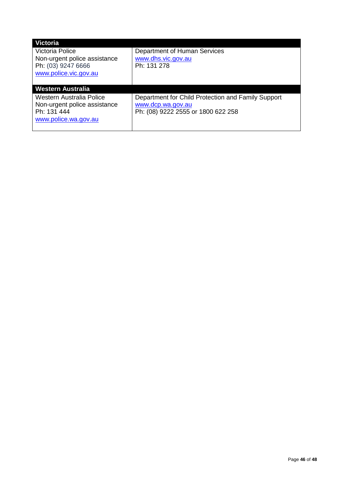| <b>Victoria</b>                                    |                                                    |
|----------------------------------------------------|----------------------------------------------------|
| Victoria Police                                    | Department of Human Services                       |
| Non-urgent police assistance<br>Ph: (03) 9247 6666 | www.dhs.vic.gov.au<br>Ph: 131 278                  |
| www.police.vic.gov.au                              |                                                    |
|                                                    |                                                    |
| <b>Western Australia</b>                           |                                                    |
| Western Australia Police                           | Department for Child Protection and Family Support |
| Non-urgent police assistance                       | www.dcp.wa.gov.au                                  |
| Ph: 131 444                                        | Ph: (08) 9222 2555 or 1800 622 258                 |
| www.police.wa.gov.au                               |                                                    |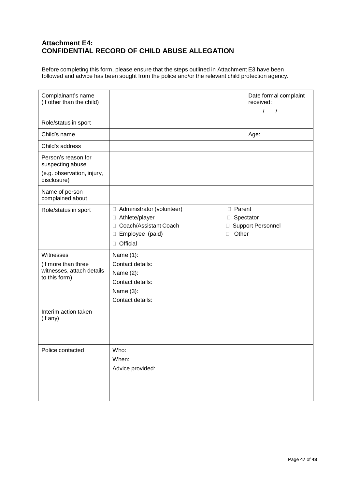## <span id="page-46-0"></span>**Attachment E4: CONFIDENTIAL RECORD OF CHILD ABUSE ALLEGATION**

Before completing this form, please ensure that the steps outlined in Attachment E3 have been followed and advice has been sought from the police and/or the relevant child protection agency.

| Complainant's name<br>(if other than the child)                                |                                                                                                                                                                    | Date formal complaint<br>received:<br>$\overline{1}$<br>$\overline{1}$ |
|--------------------------------------------------------------------------------|--------------------------------------------------------------------------------------------------------------------------------------------------------------------|------------------------------------------------------------------------|
| Role/status in sport                                                           |                                                                                                                                                                    |                                                                        |
| Child's name                                                                   |                                                                                                                                                                    | Age:                                                                   |
| Child's address                                                                |                                                                                                                                                                    |                                                                        |
| Person's reason for<br>suspecting abuse                                        |                                                                                                                                                                    |                                                                        |
| (e.g. observation, injury,<br>disclosure)                                      |                                                                                                                                                                    |                                                                        |
| Name of person<br>complained about                                             |                                                                                                                                                                    |                                                                        |
| Role/status in sport                                                           | <b>D</b> Parent<br>Administrator (volunteer)<br>$\Box$<br>Athlete/player<br>□<br>Coach/Assistant Coach<br>П<br>Other<br>Employee (paid)<br>П<br>⊔<br>Official<br>□ | □ Spectator<br><b>Support Personnel</b>                                |
| Witnesses<br>(if more than three<br>witnesses, attach details<br>to this form) | Name (1):<br>Contact details:<br>Name (2):<br>Contact details:<br>Name (3):<br>Contact details:                                                                    |                                                                        |
| Interim action taken<br>(if any)                                               |                                                                                                                                                                    |                                                                        |
| Police contacted                                                               | Who:<br>When:<br>Advice provided:                                                                                                                                  |                                                                        |